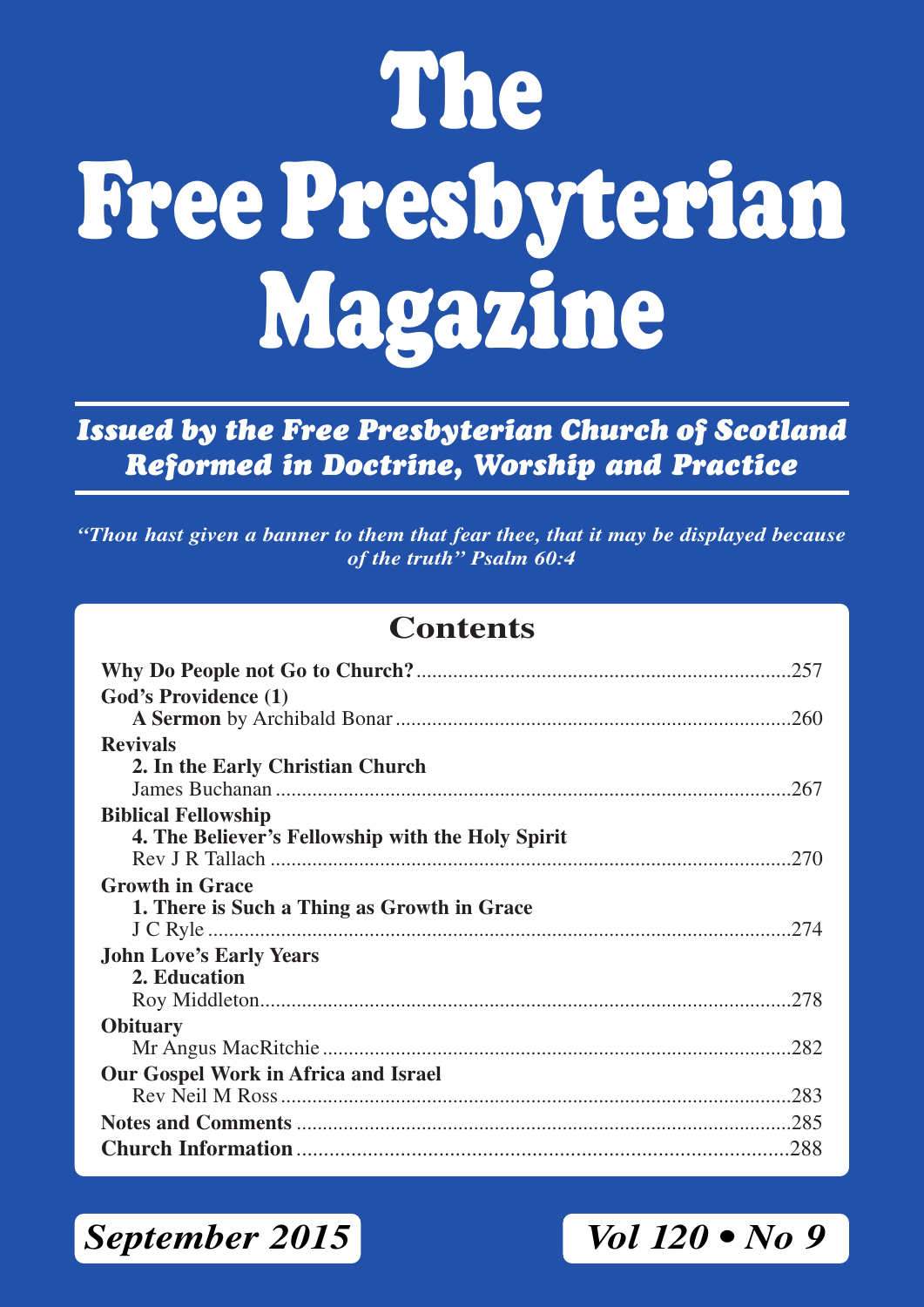# **The Free Presbyterian Magazine**

*Issued by the Free Presbyterian Church of Scotland Reformed in Doctrine, Worship and Practice*

*"Thou hast given a banner to them that fear thee, that it may be displayed because of the truth" Psalm 60:4*

### **Contents**

| God's Providence (1)                              |
|---------------------------------------------------|
|                                                   |
| <b>Revivals</b>                                   |
| 2. In the Early Christian Church                  |
|                                                   |
| <b>Biblical Fellowship</b>                        |
| 4. The Believer's Fellowship with the Holy Spirit |
|                                                   |
| <b>Growth in Grace</b>                            |
| 1. There is Such a Thing as Growth in Grace       |
|                                                   |
| <b>John Love's Early Years</b>                    |
| 2. Education                                      |
|                                                   |
| <b>Obituary</b>                                   |
|                                                   |
| Our Gospel Work in Africa and Israel              |
|                                                   |
|                                                   |
|                                                   |



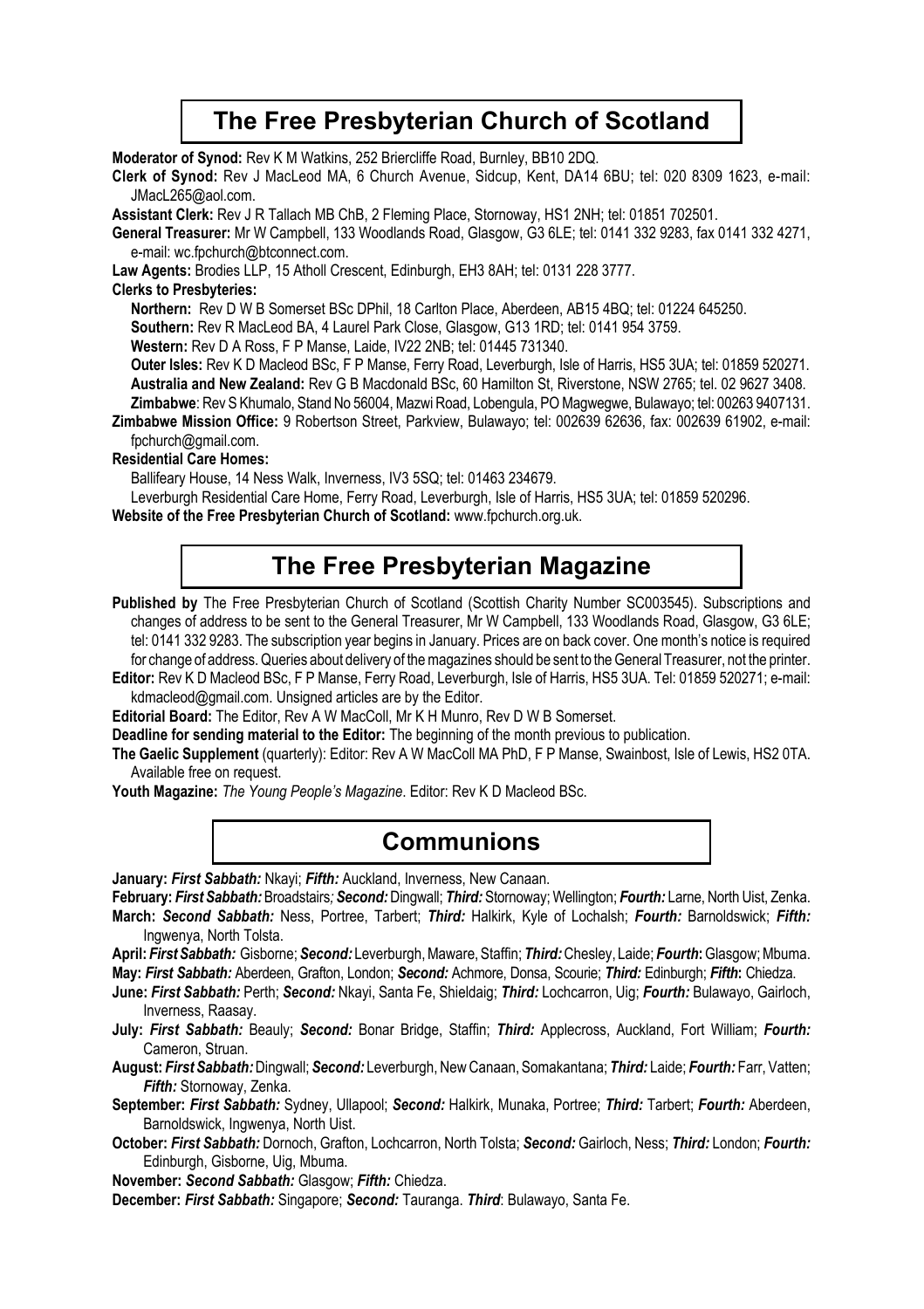### **The Free Presbyterian Church of Scotland**

**Moderator of Synod:** Rev K M Watkins, 252 Briercliffe Road, Burnley, BB10 2DQ.

**Clerk of Synod:** Rev J MacLeod MA, 6 Church Avenue, Sidcup, Kent, DA14 6BU; tel: 020 8309 1623, e-mail: JMacL265@aol.com.

**Assistant Clerk:** Rev J R Tallach MB ChB, 2 Fleming Place, Stornoway, HS1 2NH; tel: 01851 702501.

**General Treasurer:** Mr W Campbell, 133 Woodlands Road, Glasgow, G3 6LE; tel: 0141 332 9283, fax 0141 332 4271, e-mail: wc.fpchurch@btconnect.com.

**Law Agents:** Brodies LLP, 15 Atholl Crescent, Edinburgh, EH3 8AH; tel: 0131 228 3777.

#### **Clerks to Presbyteries:**

**Northern:** Rev D W B Somerset BSc DPhil, 18 Carlton Place, Aberdeen, AB15 4BQ; tel: 01224 645250.

**Southern:** Rev R MacLeod BA, 4 Laurel Park Close, Glasgow, G13 1RD; tel: 0141 954 3759.

**Western:** Rev D A Ross, F P Manse, Laide, IV22 2NB; tel: 01445 731340.

**Outer lsles:** Rev K D Macleod BSc, F P Manse, Ferry Road, Leverburgh, Isle of Harris, HS5 3UA; tel: 01859 520271. **Australia and New Zealand:** Rev G B Macdonald BSc, 60 Hamilton St, Riverstone, NSW 2765; tel. 02 9627 3408.

**Zimbabwe**: Rev S Khumalo, Stand No 56004, Mazwi Road, Lobengula, PO Magwegwe, Bulawayo; tel: 00263 9407131. **Zimbabwe Mission Office:** 9 Robertson Street, Parkview, Bulawayo; tel: 002639 62636, fax: 002639 61902, e-mail: fpchurch@gmail.com.

### **Residential Care Homes:**

Ballifeary House, 14 Ness Walk, Inverness, IV3 5SQ; tel: 01463 234679.

Leverburgh Residential Care Home, Ferry Road, Leverburgh, Isle of Harris, HS5 3UA; tel: 01859 520296. **Website of the Free Presbyterian Church of Scotland:** www.fpchurch.org.uk.

### **The Free Presbyterian Magazine**

Published by The Free Presbyterian Church of Scotland (Scottish Charity Number SC003545). Subscriptions and changes of address to be sent to the General Treasurer, Mr W Campbell, 133 Woodlands Road, Glasgow, G3 6LE; tel: 0141 332 9283. The subscription year begins in January. Prices are on back cover. One month's notice is required for change of address. Queries about delivery of the magazines should be sent to the General Treasurer, not the printer.

**Editor:** Rev K D Macleod BSc, F P Manse, Ferry Road, Leverburgh, Isle of Harris, HS5 3UA. Tel: 01859 520271; e-mail: kdmacleod@gmail.com. Unsigned articles are by the Editor.

**Editorial Board:** The Editor, Rev A W MacColl, Mr K H Munro, Rev D W B Somerset.

**Deadline for sending material to the Editor:** The beginning of the month previous to publication.

**The Gaelic Supplement** (quarterly): Editor: Rev A W MacColl MA PhD, F P Manse, Swainbost, Isle of Lewis, HS2 0TA. Available free on request.

**Youth Magazine:** *The Young People's Magazine*. Editor: Rev K D Macleod BSc.

### **Communions**

**January:** *First Sabbath:* Nkayi; *Fifth:* Auckland, Inverness, New Canaan.

**February:** *First Sabbath:* Broadstairs*; Second:* Dingwall; *Third:* Stornoway; Wellington; *Fourth:* Larne, North Uist, Zenka. **March:** *Second Sabbath:* Ness, Portree, Tarbert; *Third:* Halkirk, Kyle of Lochalsh; *Fourth:* Barnoldswick; *Fifth:* Ingwenya, North Tolsta.

**April:** *First Sabbath:* Gisborne; *Second:* Leverburgh, Maware, Staffin; *Third:* Chesley, Laide; *Fourth***:** Glasgow; Mbuma. **May:** *First Sabbath:* Aberdeen, Grafton, London; *Second:* Achmore, Donsa, Scourie; *Third:* Edinburgh; *Fifth***:** Chiedza.

**June:** *First Sabbath:* Perth; *Second:* Nkayi, Santa Fe, Shieldaig; *Third:* Lochcarron, Uig; *Fourth:* Bulawayo, Gairloch, Inverness, Raasay.

- **July:** *First Sabbath:* Beauly; *Second:* Bonar Bridge, Staffin; *Third:* Applecross, Auckland, Fort William; *Fourth:* Cameron, Struan.
- **August:** *First Sabbath:* Dingwall; *Second:* Leverburgh, New Canaan, Somakantana; *Third:* Laide; *Fourth:* Farr, Vatten; *Fifth:* Stornoway, Zenka.

**September:** *First Sabbath:* Sydney, Ullapool; *Second:* Halkirk, Munaka, Portree; *Third:* Tarbert; *Fourth:* Aberdeen, Barnoldswick, Ingwenya, North Uist.

**October:** *First Sabbath:* Dornoch, Grafton, Lochcarron, North Tolsta; *Second:* Gairloch, Ness; *Third:* London; *Fourth:* Edinburgh, Gisborne, Uig, Mbuma.

**November:** *Second Sabbath:* Glasgow; *Fifth:* Chiedza.

**December:** *First Sabbath:* Singapore; *Second:* Tauranga. *Third*: Bulawayo, Santa Fe.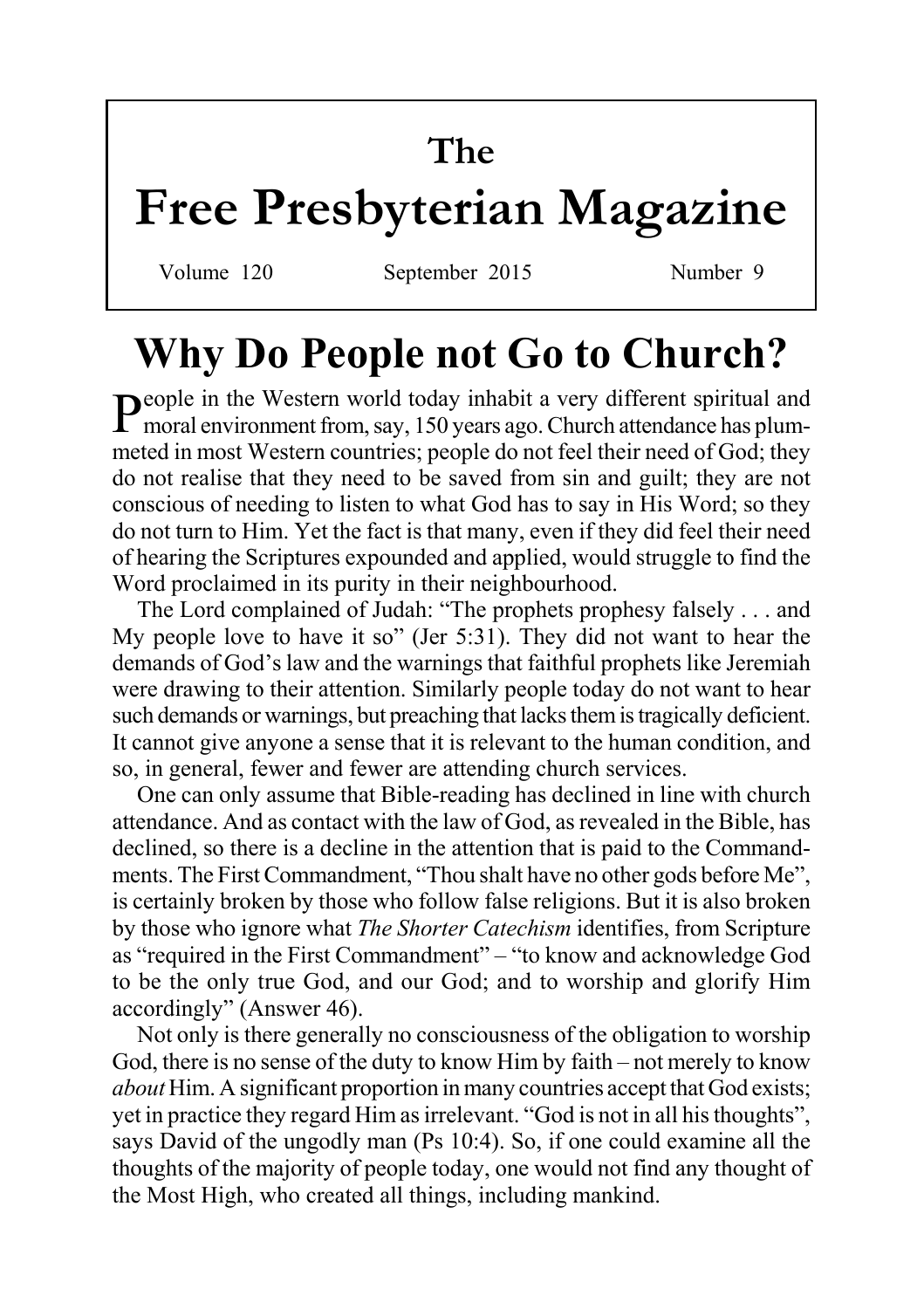# **The**

# **Free Presbyterian Magazine**

Volume 120 September 2015 Number 9

# **Why Do People not Go to Church?**

People in the Western world today inhabit a very different spiritual and moral environment from, say, 150 years ago. Church attendance has plummeted in most Western countries; people do not feel their need of God; they do not realise that they need to be saved from sin and guilt; they are not conscious of needing to listen to what God has to say in His Word; so they do not turn to Him. Yet the fact is that many, even if they did feel their need of hearing the Scriptures expounded and applied, would struggle to find the Word proclaimed in its purity in their neighbourhood.

The Lord complained of Judah: "The prophets prophesy falsely . . . and My people love to have it so" (Jer 5:31). They did not want to hear the demands of God's law and the warnings that faithful prophets like Jeremiah were drawing to their attention. Similarly people today do not want to hear such demands or warnings, but preaching that lacks them is tragically deficient. It cannot give anyone a sense that it is relevant to the human condition, and so, in general, fewer and fewer are attending church services.

One can only assume that Bible-reading has declined in line with church attendance. And as contact with the law of God, as revealed in the Bible, has declined, so there is a decline in the attention that is paid to the Commandments. The First Commandment, "Thou shalt have no other gods before Me", is certainly broken by those who follow false religions. But it is also broken by those who ignore what *The Shorter Catechism* identifies, from Scripture as "required in the First Commandment" – "to know and acknowledge God to be the only true God, and our God; and to worship and glorify Him accordingly" (Answer 46).

Not only is there generally no consciousness of the obligation to worship God, there is no sense of the duty to know Him by faith – not merely to know *about* Him. A significant proportion in many countries accept that God exists; yet in practice they regard Him as irrelevant. "God is not in all his thoughts", says David of the ungodly man (Ps 10:4). So, if one could examine all the thoughts of the majority of people today, one would not find any thought of the Most High, who created all things, including mankind.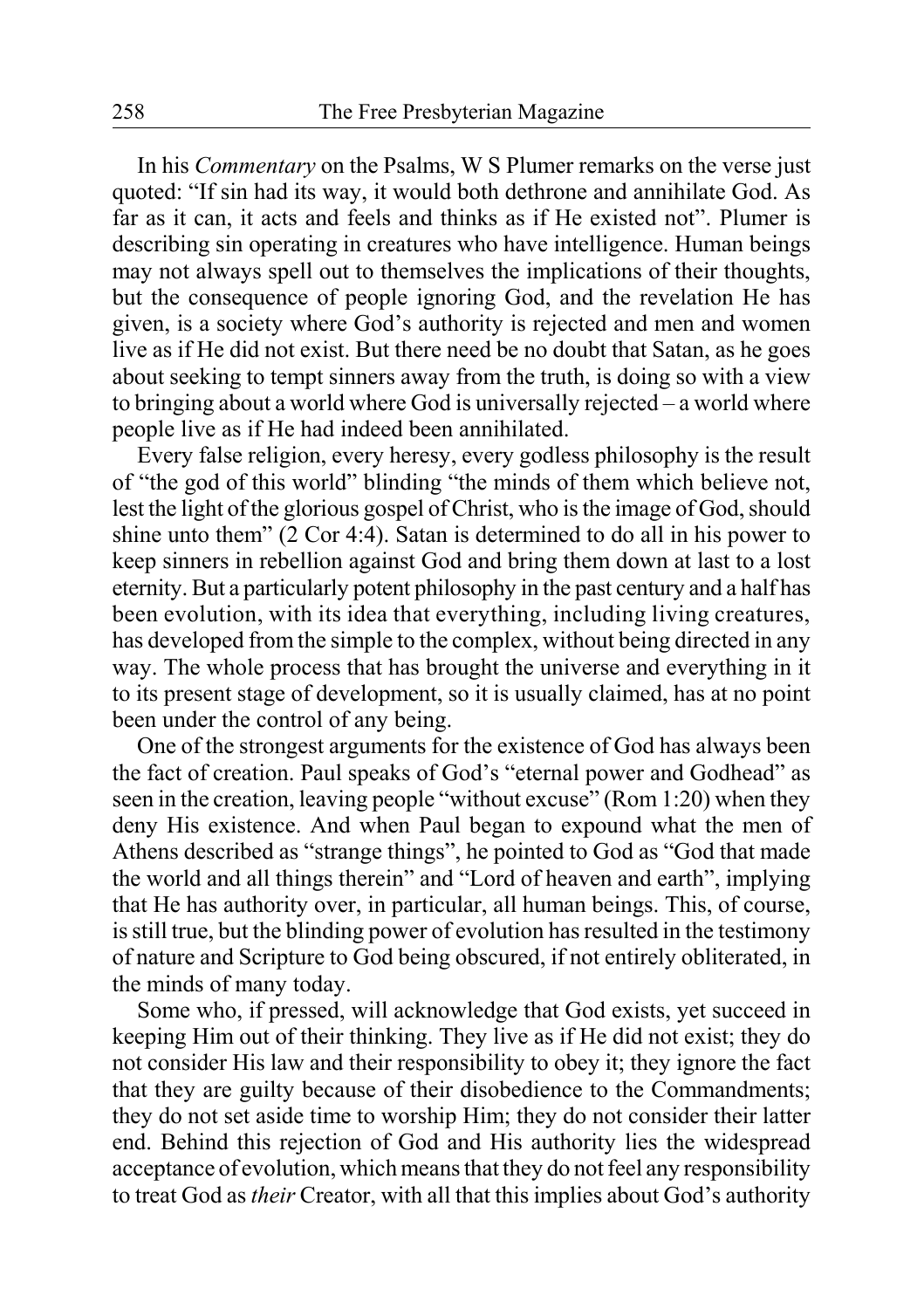In his *Commentary* on the Psalms, W S Plumer remarks on the verse just quoted: "If sin had its way, it would both dethrone and annihilate God. As far as it can, it acts and feels and thinks as if He existed not". Plumer is describing sin operating in creatures who have intelligence. Human beings may not always spell out to themselves the implications of their thoughts, but the consequence of people ignoring God, and the revelation He has given, is a society where God's authority is rejected and men and women live as if He did not exist. But there need be no doubt that Satan, as he goes about seeking to tempt sinners away from the truth, is doing so with a view to bringing about a world where God is universally rejected – a world where people live as if He had indeed been annihilated.

Every false religion, every heresy, every godless philosophy is the result of "the god of this world" blinding "the minds of them which believe not, lest the light of the glorious gospel of Christ, who is the image of God, should shine unto them" (2 Cor 4:4). Satan is determined to do all in his power to keep sinners in rebellion against God and bring them down at last to a lost eternity. But a particularly potent philosophy in the past century and a half has been evolution, with its idea that everything, including living creatures, has developed from the simple to the complex, without being directed in any way. The whole process that has brought the universe and everything in it to its present stage of development, so it is usually claimed, has at no point been under the control of any being.

One of the strongest arguments for the existence of God has always been the fact of creation. Paul speaks of God's "eternal power and Godhead" as seen in the creation, leaving people "without excuse" (Rom 1:20) when they deny His existence. And when Paul began to expound what the men of Athens described as "strange things", he pointed to God as "God that made the world and all things therein" and "Lord of heaven and earth", implying that He has authority over, in particular, all human beings. This, of course, is still true, but the blinding power of evolution has resulted in the testimony of nature and Scripture to God being obscured, if not entirely obliterated, in the minds of many today.

Some who, if pressed, will acknowledge that God exists, yet succeed in keeping Him out of their thinking. They live as if He did not exist; they do not consider His law and their responsibility to obey it; they ignore the fact that they are guilty because of their disobedience to the Commandments; they do not set aside time to worship Him; they do not consider their latter end. Behind this rejection of God and His authority lies the widespread acceptance of evolution, which means that they do not feel any responsibility to treat God as *their* Creator, with all that this implies about God's authority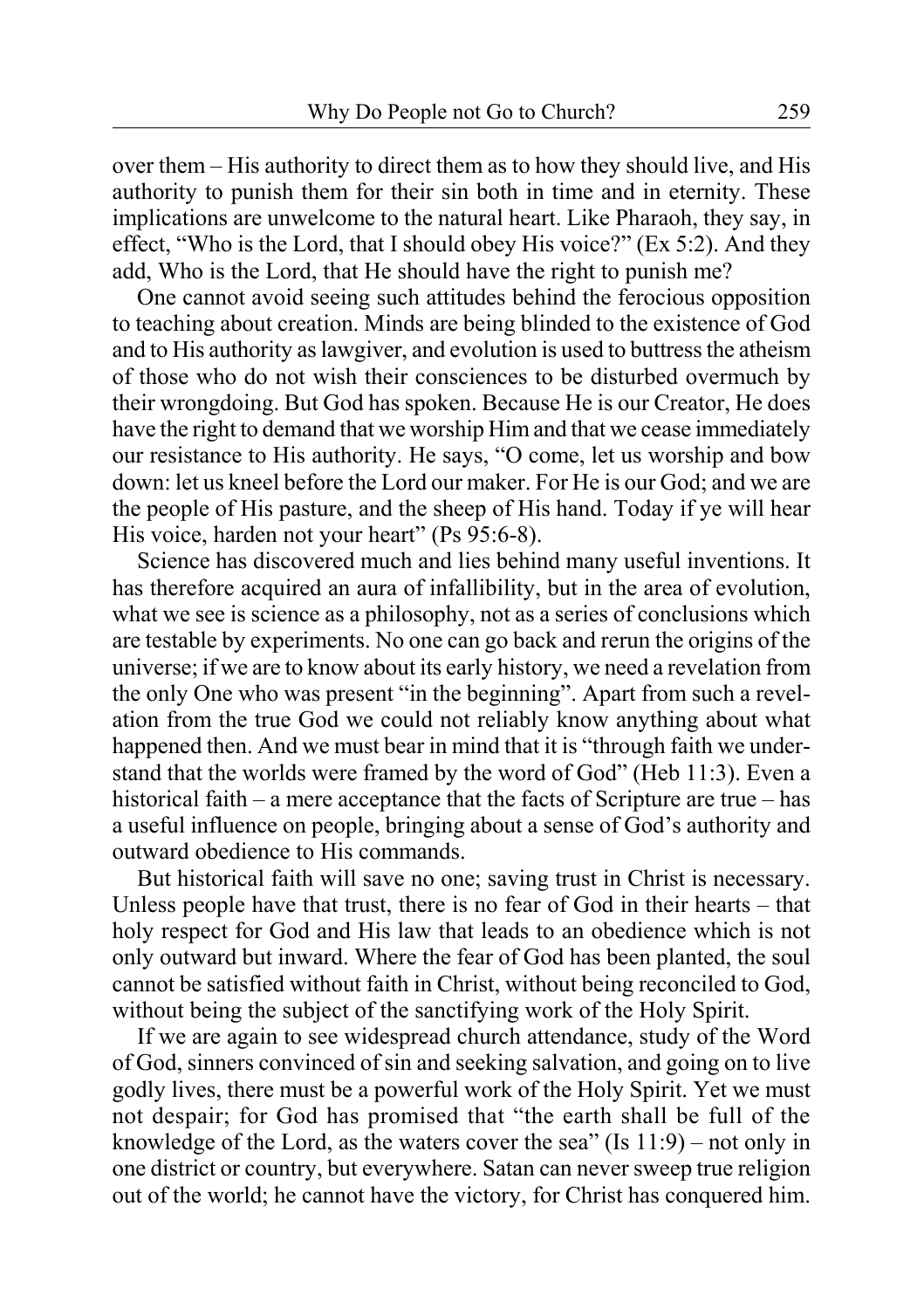over them – His authority to direct them as to how they should live, and His authority to punish them for their sin both in time and in eternity. These implications are unwelcome to the natural heart. Like Pharaoh, they say, in effect, "Who is the Lord, that I should obey His voice?" (Ex 5:2). And they add, Who is the Lord, that He should have the right to punish me?

One cannot avoid seeing such attitudes behind the ferocious opposition to teaching about creation. Minds are being blinded to the existence of God and to His authority as lawgiver, and evolution is used to buttress the atheism of those who do not wish their consciences to be disturbed overmuch by their wrongdoing. But God has spoken. Because He is our Creator, He does have the right to demand that we worship Him and that we cease immediately our resistance to His authority. He says, "O come, let us worship and bow down: let us kneel before the Lord our maker. For He is our God; and we are the people of His pasture, and the sheep of His hand. Today if ye will hear His voice, harden not your heart" (Ps 95:6-8).

Science has discovered much and lies behind many useful inventions. It has therefore acquired an aura of infallibility, but in the area of evolution, what we see is science as a philosophy, not as a series of conclusions which are testable by experiments. No one can go back and rerun the origins of the universe; if we are to know about its early history, we need a revelation from the only One who was present "in the beginning". Apart from such a revelation from the true God we could not reliably know anything about what happened then. And we must bear in mind that it is "through faith we understand that the worlds were framed by the word of God" (Heb 11:3). Even a historical faith – a mere acceptance that the facts of Scripture are true – has a useful influence on people, bringing about a sense of God's authority and outward obedience to His commands.

But historical faith will save no one; saving trust in Christ is necessary. Unless people have that trust, there is no fear of God in their hearts – that holy respect for God and His law that leads to an obedience which is not only outward but inward. Where the fear of God has been planted, the soul cannot be satisfied without faith in Christ, without being reconciled to God, without being the subject of the sanctifying work of the Holy Spirit.

If we are again to see widespread church attendance, study of the Word of God, sinners convinced of sin and seeking salvation, and going on to live godly lives, there must be a powerful work of the Holy Spirit. Yet we must not despair; for God has promised that "the earth shall be full of the knowledge of the Lord, as the waters cover the sea" (Is 11:9) – not only in one district or country, but everywhere. Satan can never sweep true religion out of the world; he cannot have the victory, for Christ has conquered him.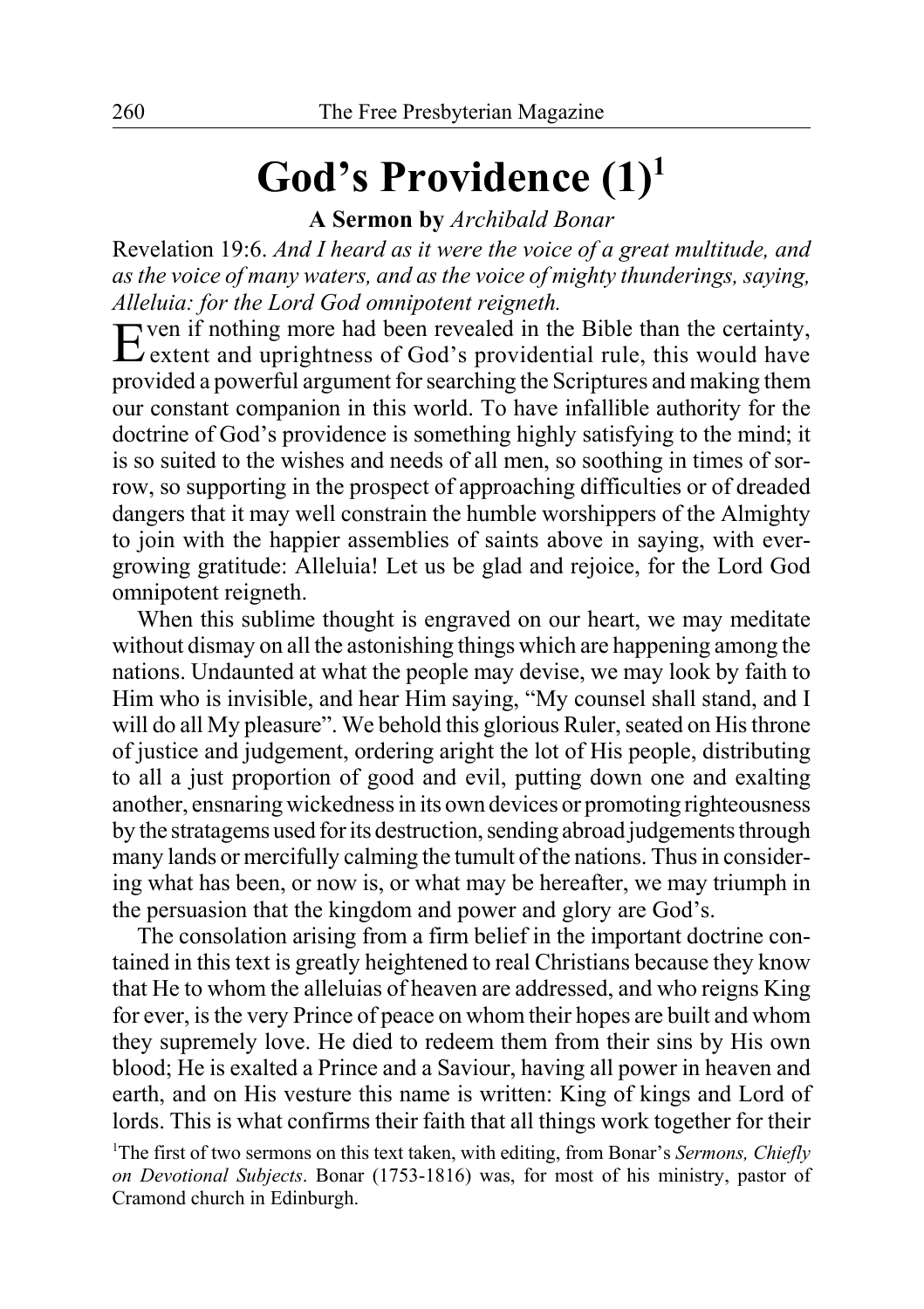# **God's Providence (1)1**

**A Sermon by** *Archibald Bonar*

Revelation 19:6. *And I heard as it were the voice of a great multitude, and as the voice of many waters, and as the voice of mighty thunderings, saying, Alleluia: for the Lord God omnipotent reigneth.*

Even if nothing more had been revealed in the Bible than the certainty, extent and uprightness of God's providential rule, this would have provided a powerful argument for searching the Scriptures and making them our constant companion in this world. To have infallible authority for the doctrine of God's providence is something highly satisfying to the mind; it is so suited to the wishes and needs of all men, so soothing in times of sorrow, so supporting in the prospect of approaching difficulties or of dreaded dangers that it may well constrain the humble worshippers of the Almighty to join with the happier assemblies of saints above in saying, with evergrowing gratitude: Alleluia! Let us be glad and rejoice, for the Lord God omnipotent reigneth.

When this sublime thought is engraved on our heart, we may meditate without dismay on all the astonishing things which are happening among the nations. Undaunted at what the people may devise, we may look by faith to Him who is invisible, and hear Him saying, "My counsel shall stand, and I will do all My pleasure". We behold this glorious Ruler, seated on His throne of justice and judgement, ordering aright the lot of His people, distributing to all a just proportion of good and evil, putting down one and exalting another, ensnaring wickedness in its own devices or promoting righteousness by the stratagems used for its destruction, sending abroad judgements through many lands or mercifully calming the tumult of the nations. Thus in considering what has been, or now is, or what may be hereafter, we may triumph in the persuasion that the kingdom and power and glory are God's.

The consolation arising from a firm belief in the important doctrine contained in this text is greatly heightened to real Christians because they know that He to whom the alleluias of heaven are addressed, and who reigns King for ever, is the very Prince of peace on whom their hopes are built and whom they supremely love. He died to redeem them from their sins by His own blood; He is exalted a Prince and a Saviour, having all power in heaven and earth, and on His vesture this name is written: King of kings and Lord of lords. This is what confirms their faith that all things work together for their

<sup>1</sup>The first of two sermons on this text taken, with editing, from Bonar's Sermons, Chiefly *on Devotional Subjects*. Bonar (1753-1816) was, for most of his ministry, pastor of Cramond church in Edinburgh.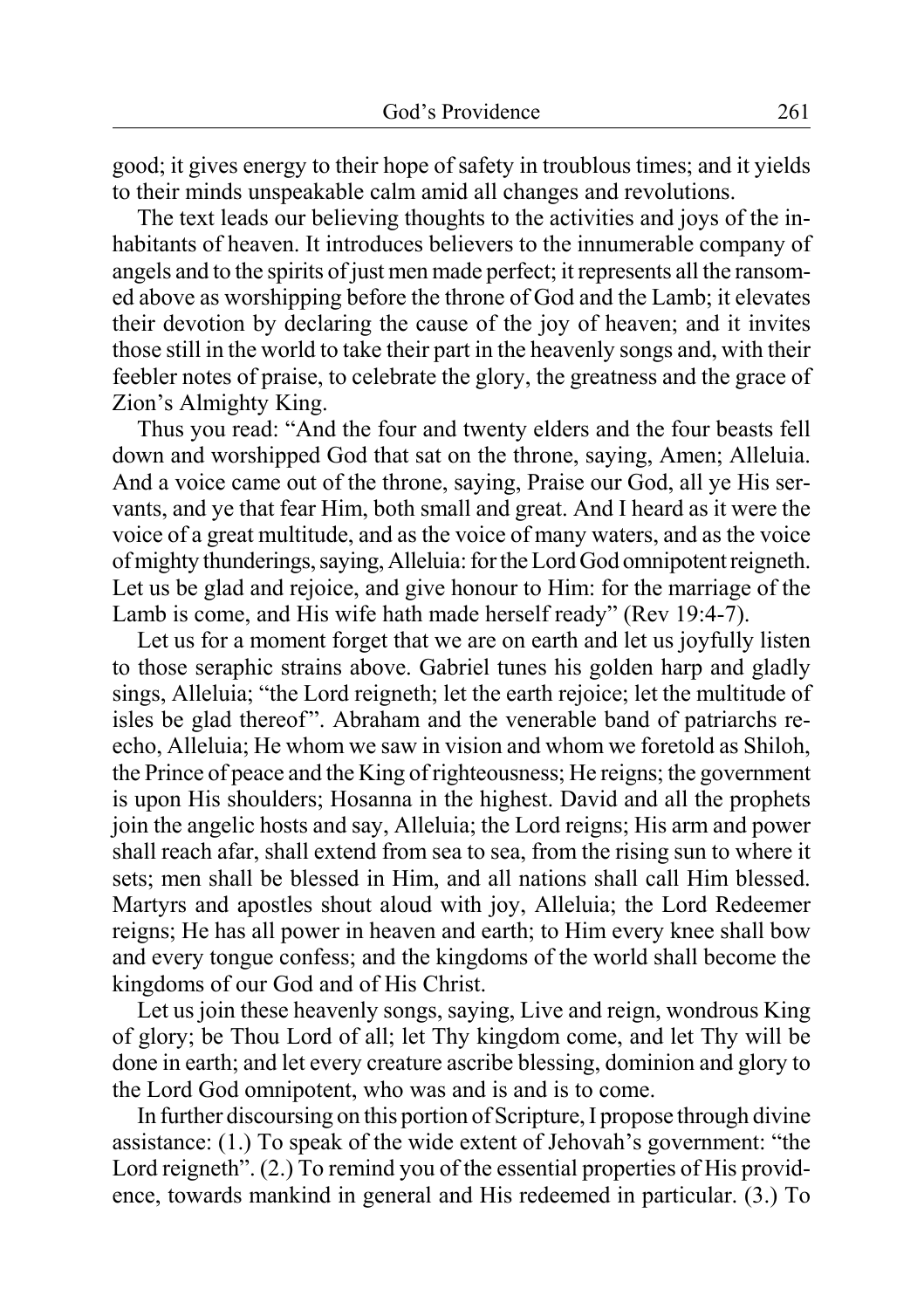good; it gives energy to their hope of safety in troublous times; and it yields to their minds unspeakable calm amid all changes and revolutions.

The text leads our believing thoughts to the activities and joys of the inhabitants of heaven. It introduces believers to the innumerable company of angels and to the spirits of just men made perfect; it represents all the ransomed above as worshipping before the throne of God and the Lamb; it elevates their devotion by declaring the cause of the joy of heaven; and it invites those still in the world to take their part in the heavenly songs and, with their feebler notes of praise, to celebrate the glory, the greatness and the grace of Zion's Almighty King.

Thus you read: "And the four and twenty elders and the four beasts fell down and worshipped God that sat on the throne, saying, Amen; Alleluia. And a voice came out of the throne, saying, Praise our God, all ye His servants, and ye that fear Him, both small and great. And I heard as it were the voice of a great multitude, and as the voice of many waters, and as the voice of mighty thunderings, saying, Alleluia: for the Lord God omnipotent reigneth. Let us be glad and rejoice, and give honour to Him: for the marriage of the Lamb is come, and His wife hath made herself ready" (Rev 19:4-7).

Let us for a moment forget that we are on earth and let us joyfully listen to those seraphic strains above. Gabriel tunes his golden harp and gladly sings, Alleluia; "the Lord reigneth; let the earth rejoice; let the multitude of isles be glad thereof". Abraham and the venerable band of patriarchs reecho, Alleluia; He whom we saw in vision and whom we foretold as Shiloh, the Prince of peace and the King of righteousness; He reigns; the government is upon His shoulders; Hosanna in the highest. David and all the prophets join the angelic hosts and say, Alleluia; the Lord reigns; His arm and power shall reach afar, shall extend from sea to sea, from the rising sun to where it sets; men shall be blessed in Him, and all nations shall call Him blessed. Martyrs and apostles shout aloud with joy, Alleluia; the Lord Redeemer reigns; He has all power in heaven and earth; to Him every knee shall bow and every tongue confess; and the kingdoms of the world shall become the kingdoms of our God and of His Christ.

Let us join these heavenly songs, saying, Live and reign, wondrous King of glory; be Thou Lord of all; let Thy kingdom come, and let Thy will be done in earth; and let every creature ascribe blessing, dominion and glory to the Lord God omnipotent, who was and is and is to come.

In further discoursing on this portion of Scripture, I propose through divine assistance: (1.) To speak of the wide extent of Jehovah's government: "the Lord reigneth". (2.) To remind you of the essential properties of His providence, towards mankind in general and His redeemed in particular. (3.) To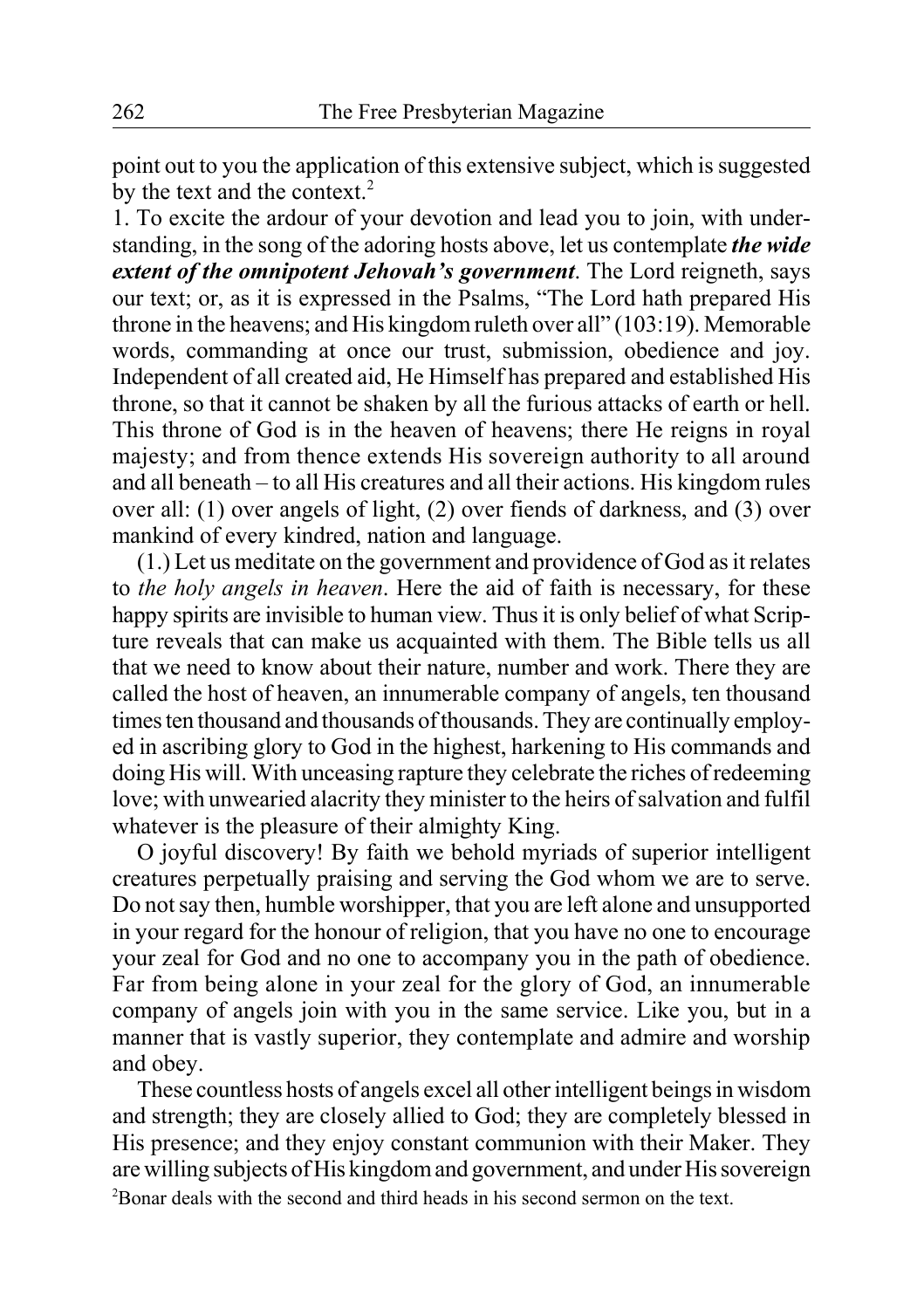point out to you the application of this extensive subject, which is suggested by the text and the context.<sup>2</sup>

1. To excite the ardour of your devotion and lead you to join, with understanding, in the song of the adoring hosts above, let us contemplate *the wide extent of the omnipotent Jehovah's government*. The Lord reigneth, says our text; or, as it is expressed in the Psalms, "The Lord hath prepared His throne in the heavens; and His kingdom ruleth over all" (103:19). Memorable words, commanding at once our trust, submission, obedience and joy. Independent of all created aid, He Himself has prepared and established His throne, so that it cannot be shaken by all the furious attacks of earth or hell. This throne of God is in the heaven of heavens; there He reigns in royal majesty; and from thence extends His sovereign authority to all around and all beneath – to all His creatures and all their actions. His kingdom rules over all: (1) over angels of light, (2) over fiends of darkness, and (3) over mankind of every kindred, nation and language.

(1.) Let us meditate on the government and providence of God as it relates to *the holy angels in heaven*. Here the aid of faith is necessary, for these happy spirits are invisible to human view. Thus it is only belief of what Scripture reveals that can make us acquainted with them. The Bible tells us all that we need to know about their nature, number and work. There they are called the host of heaven, an innumerable company of angels, ten thousand times ten thousand and thousands of thousands. They are continually employed in ascribing glory to God in the highest, harkening to His commands and doing His will. With unceasing rapture they celebrate the riches of redeeming love; with unwearied alacrity they minister to the heirs of salvation and fulfil whatever is the pleasure of their almighty King.

O joyful discovery! By faith we behold myriads of superior intelligent creatures perpetually praising and serving the God whom we are to serve. Do not say then, humble worshipper, that you are left alone and unsupported in your regard for the honour of religion, that you have no one to encourage your zeal for God and no one to accompany you in the path of obedience. Far from being alone in your zeal for the glory of God, an innumerable company of angels join with you in the same service. Like you, but in a manner that is vastly superior, they contemplate and admire and worship and obey.

These countless hosts of angels excel all other intelligent beings in wisdom and strength; they are closely allied to God; they are completely blessed in His presence; and they enjoy constant communion with their Maker. They are willing subjects of His kingdom and government, and under His sovereign 2 Bonar deals with the second and third heads in his second sermon on the text.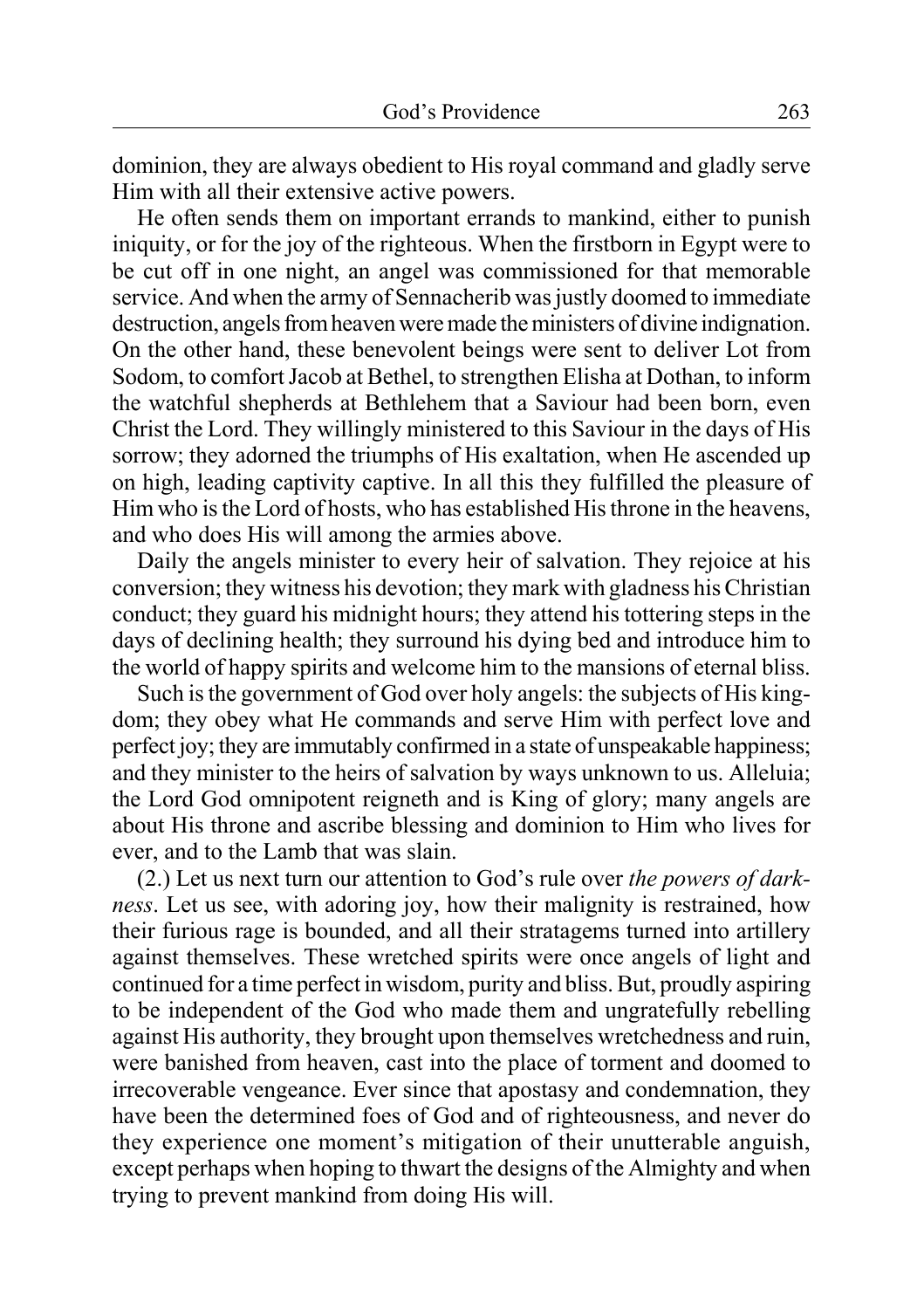dominion, they are always obedient to His royal command and gladly serve Him with all their extensive active powers.

He often sends them on important errands to mankind, either to punish iniquity, or for the joy of the righteous. When the firstborn in Egypt were to be cut off in one night, an angel was commissioned for that memorable service. And when the army of Sennacherib was justly doomed to immediate destruction, angels from heaven were made the ministers of divine indignation. On the other hand, these benevolent beings were sent to deliver Lot from Sodom, to comfort Jacob at Bethel, to strengthen Elisha at Dothan, to inform the watchful shepherds at Bethlehem that a Saviour had been born, even Christ the Lord. They willingly ministered to this Saviour in the days of His sorrow; they adorned the triumphs of His exaltation, when He ascended up on high, leading captivity captive. In all this they fulfilled the pleasure of Him who is the Lord of hosts, who has established His throne in the heavens, and who does His will among the armies above.

Daily the angels minister to every heir of salvation. They rejoice at his conversion; they witness his devotion; they mark with gladness his Christian conduct; they guard his midnight hours; they attend his tottering steps in the days of declining health; they surround his dying bed and introduce him to the world of happy spirits and welcome him to the mansions of eternal bliss.

Such is the government of God over holy angels: the subjects of His kingdom; they obey what He commands and serve Him with perfect love and perfect joy; they are immutably confirmed in a state of unspeakable happiness; and they minister to the heirs of salvation by ways unknown to us. Alleluia; the Lord God omnipotent reigneth and is King of glory; many angels are about His throne and ascribe blessing and dominion to Him who lives for ever, and to the Lamb that was slain.

(2.) Let us next turn our attention to God's rule over *the powers of darkness*. Let us see, with adoring joy, how their malignity is restrained, how their furious rage is bounded, and all their stratagems turned into artillery against themselves. These wretched spirits were once angels of light and continued for a time perfect in wisdom, purity and bliss. But, proudly aspiring to be independent of the God who made them and ungratefully rebelling against His authority, they brought upon themselves wretchedness and ruin, were banished from heaven, cast into the place of torment and doomed to irrecoverable vengeance. Ever since that apostasy and condemnation, they have been the determined foes of God and of righteousness, and never do they experience one moment's mitigation of their unutterable anguish, except perhaps when hoping to thwart the designs of the Almighty and when trying to prevent mankind from doing His will.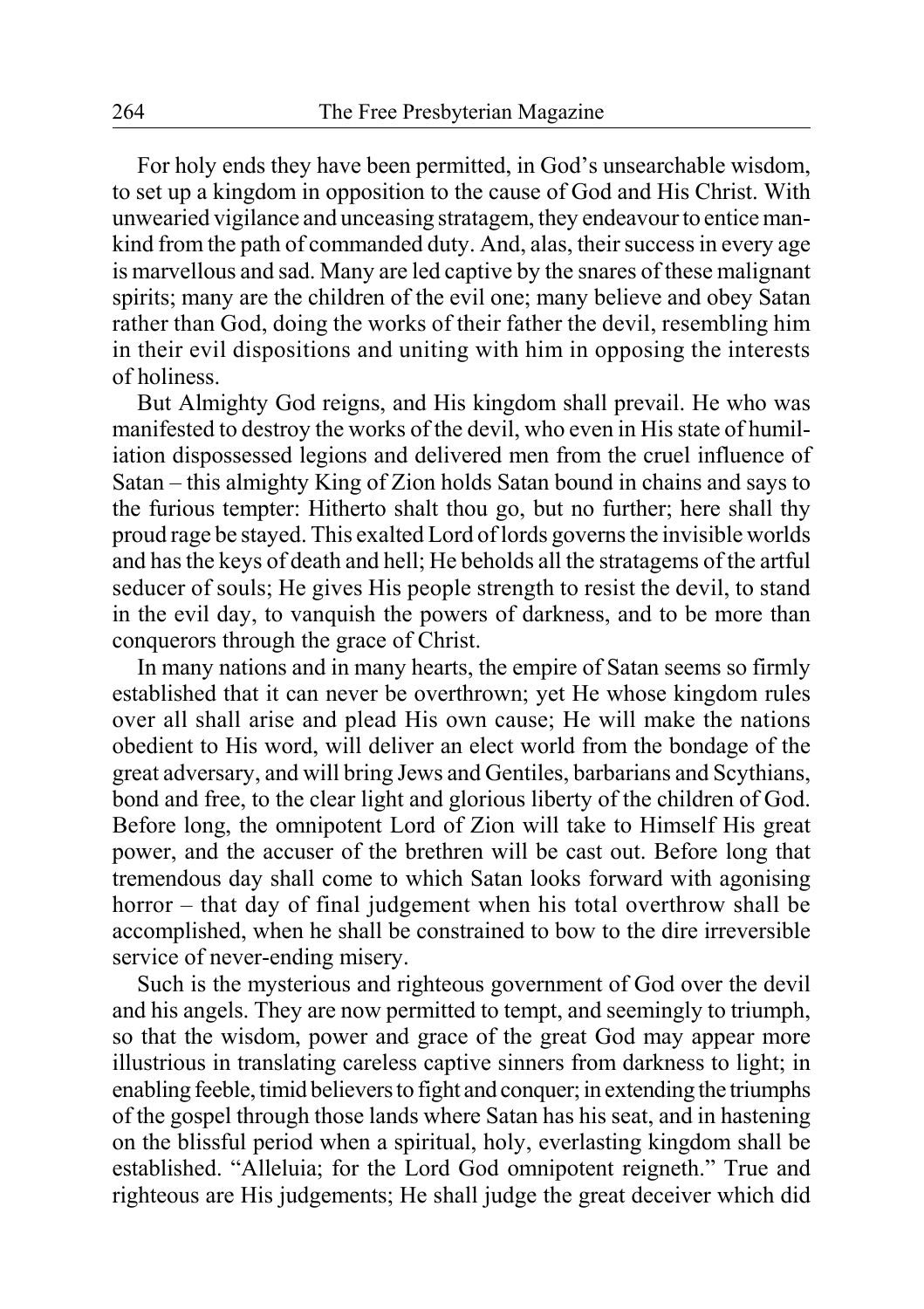For holy ends they have been permitted, in God's unsearchable wisdom, to set up a kingdom in opposition to the cause of God and His Christ. With unwearied vigilance and unceasing stratagem, they endeavour to entice mankind from the path of commanded duty. And, alas, their success in every age is marvellous and sad. Many are led captive by the snares of these malignant spirits; many are the children of the evil one; many believe and obey Satan rather than God, doing the works of their father the devil, resembling him in their evil dispositions and uniting with him in opposing the interests of holiness.

But Almighty God reigns, and His kingdom shall prevail. He who was manifested to destroy the works of the devil, who even in His state of humiliation dispossessed legions and delivered men from the cruel influence of Satan – this almighty King of Zion holds Satan bound in chains and says to the furious tempter: Hitherto shalt thou go, but no further; here shall thy proud rage be stayed. This exalted Lord of lords governs the invisible worlds and has the keys of death and hell; He beholds all the stratagems of the artful seducer of souls; He gives His people strength to resist the devil, to stand in the evil day, to vanquish the powers of darkness, and to be more than conquerors through the grace of Christ.

In many nations and in many hearts, the empire of Satan seems so firmly established that it can never be overthrown; yet He whose kingdom rules over all shall arise and plead His own cause; He will make the nations obedient to His word, will deliver an elect world from the bondage of the great adversary, and will bring Jews and Gentiles, barbarians and Scythians, bond and free, to the clear light and glorious liberty of the children of God. Before long, the omnipotent Lord of Zion will take to Himself His great power, and the accuser of the brethren will be cast out. Before long that tremendous day shall come to which Satan looks forward with agonising horror – that day of final judgement when his total overthrow shall be accomplished, when he shall be constrained to bow to the dire irreversible service of never-ending misery.

Such is the mysterious and righteous government of God over the devil and his angels. They are now permitted to tempt, and seemingly to triumph, so that the wisdom, power and grace of the great God may appear more illustrious in translating careless captive sinners from darkness to light; in enabling feeble, timid believers to fight and conquer; in extending the triumphs of the gospel through those lands where Satan has his seat, and in hastening on the blissful period when a spiritual, holy, everlasting kingdom shall be established. "Alleluia; for the Lord God omnipotent reigneth." True and righteous are His judgements; He shall judge the great deceiver which did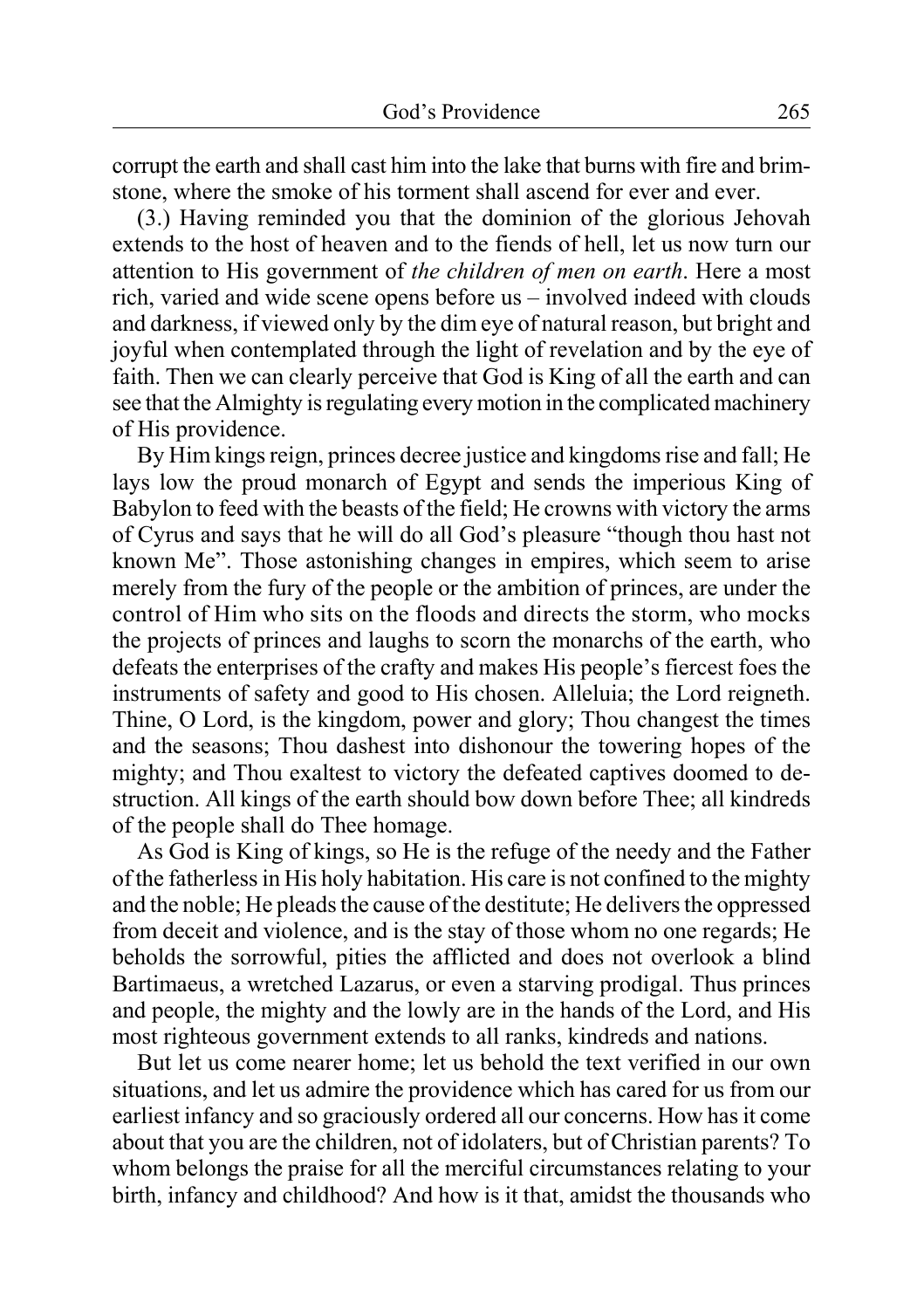corrupt the earth and shall cast him into the lake that burns with fire and brimstone, where the smoke of his torment shall ascend for ever and ever.

(3.) Having reminded you that the dominion of the glorious Jehovah extends to the host of heaven and to the fiends of hell, let us now turn our attention to His government of *the children of men on earth*. Here a most rich, varied and wide scene opens before us – involved indeed with clouds and darkness, if viewed only by the dim eye of natural reason, but bright and joyful when contemplated through the light of revelation and by the eye of faith. Then we can clearly perceive that God is King of all the earth and can see that the Almighty is regulating every motion in the complicated machinery of His providence.

By Him kings reign, princes decree justice and kingdoms rise and fall; He lays low the proud monarch of Egypt and sends the imperious King of Babylon to feed with the beasts of the field; He crowns with victory the arms of Cyrus and says that he will do all God's pleasure "though thou hast not known Me". Those astonishing changes in empires, which seem to arise merely from the fury of the people or the ambition of princes, are under the control of Him who sits on the floods and directs the storm, who mocks the projects of princes and laughs to scorn the monarchs of the earth, who defeats the enterprises of the crafty and makes His people's fiercest foes the instruments of safety and good to His chosen. Alleluia; the Lord reigneth. Thine, O Lord, is the kingdom, power and glory; Thou changest the times and the seasons; Thou dashest into dishonour the towering hopes of the mighty; and Thou exaltest to victory the defeated captives doomed to destruction. All kings of the earth should bow down before Thee; all kindreds of the people shall do Thee homage.

As God is King of kings, so He is the refuge of the needy and the Father of the fatherless in His holy habitation. His care is not confined to the mighty and the noble; He pleads the cause of the destitute; He delivers the oppressed from deceit and violence, and is the stay of those whom no one regards; He beholds the sorrowful, pities the afflicted and does not overlook a blind Bartimaeus, a wretched Lazarus, or even a starving prodigal. Thus princes and people, the mighty and the lowly are in the hands of the Lord, and His most righteous government extends to all ranks, kindreds and nations.

But let us come nearer home; let us behold the text verified in our own situations, and let us admire the providence which has cared for us from our earliest infancy and so graciously ordered all our concerns. How has it come about that you are the children, not of idolaters, but of Christian parents? To whom belongs the praise for all the merciful circumstances relating to your birth, infancy and childhood? And how is it that, amidst the thousands who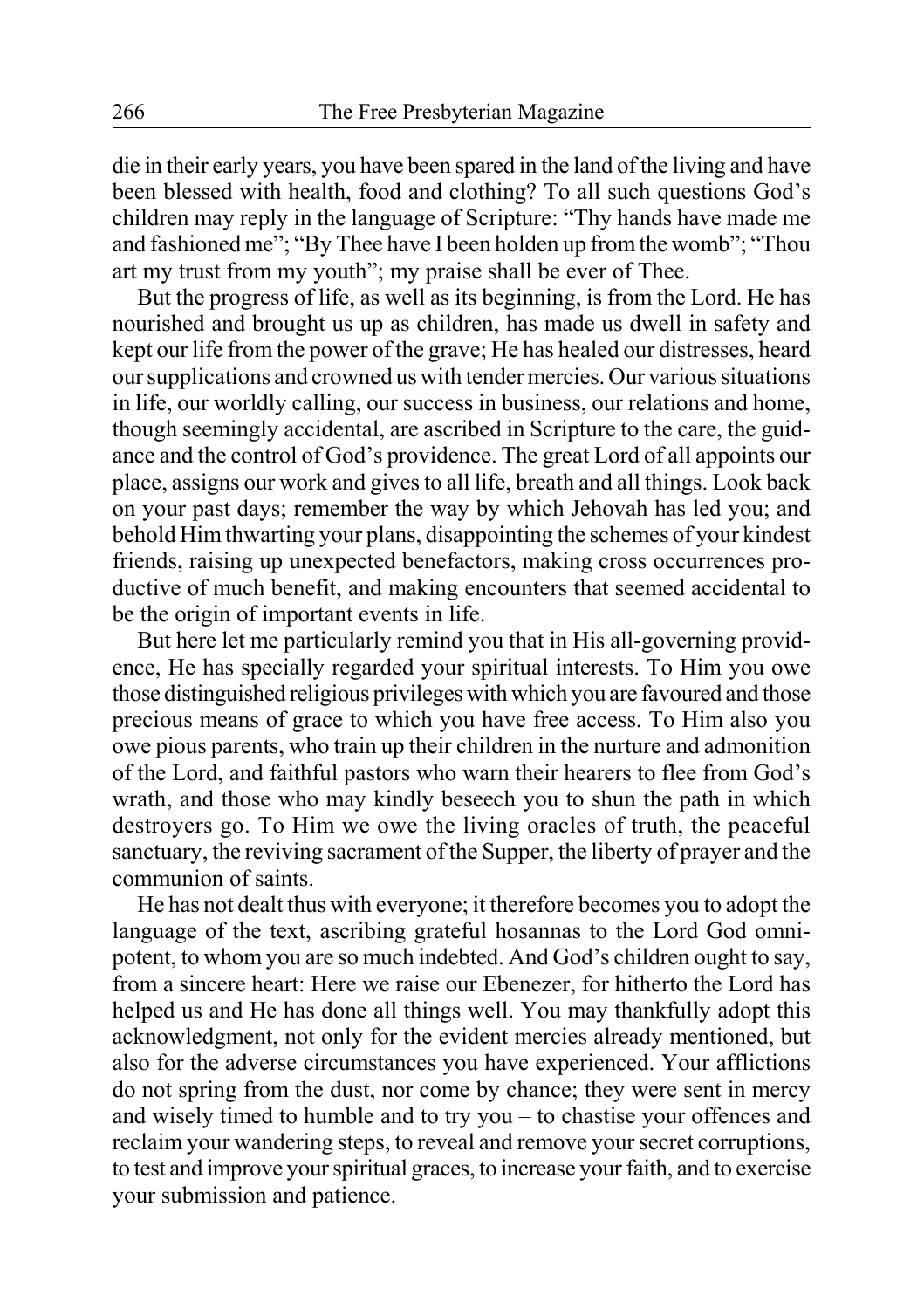die in their early years, you have been spared in the land of the living and have been blessed with health, food and clothing? To all such questions God's children may reply in the language of Scripture: "Thy hands have made me and fashioned me"; "By Thee have I been holden up from the womb"; "Thou art my trust from my youth"; my praise shall be ever of Thee.

But the progress of life, as well as its beginning, is from the Lord. He has nourished and brought us up as children, has made us dwell in safety and kept our life from the power of the grave; He has healed our distresses, heard our supplications and crowned us with tender mercies. Our various situations in life, our worldly calling, our success in business, our relations and home, though seemingly accidental, are ascribed in Scripture to the care, the guidance and the control of God's providence. The great Lord of all appoints our place, assigns our work and gives to all life, breath and all things. Look back on your past days; remember the way by which Jehovah has led you; and behold Him thwarting your plans, disappointing the schemes of your kindest friends, raising up unexpected benefactors, making cross occurrences productive of much benefit, and making encounters that seemed accidental to be the origin of important events in life.

But here let me particularly remind you that in His all-governing providence, He has specially regarded your spiritual interests. To Him you owe those distinguished religious privileges with which you are favoured and those precious means of grace to which you have free access. To Him also you owe pious parents, who train up their children in the nurture and admonition of the Lord, and faithful pastors who warn their hearers to flee from God's wrath, and those who may kindly beseech you to shun the path in which destroyers go. To Him we owe the living oracles of truth, the peaceful sanctuary, the reviving sacrament of the Supper, the liberty of prayer and the communion of saints.

He has not dealt thus with everyone; it therefore becomes you to adopt the language of the text, ascribing grateful hosannas to the Lord God omnipotent, to whom you are so much indebted. And God's children ought to say, from a sincere heart: Here we raise our Ebenezer, for hitherto the Lord has helped us and He has done all things well. You may thankfully adopt this acknowledgment, not only for the evident mercies already mentioned, but also for the adverse circumstances you have experienced. Your afflictions do not spring from the dust, nor come by chance; they were sent in mercy and wisely timed to humble and to try you – to chastise your offences and reclaim your wandering steps, to reveal and remove your secret corruptions, to test and improve your spiritual graces, to increase your faith, and to exercise your submission and patience.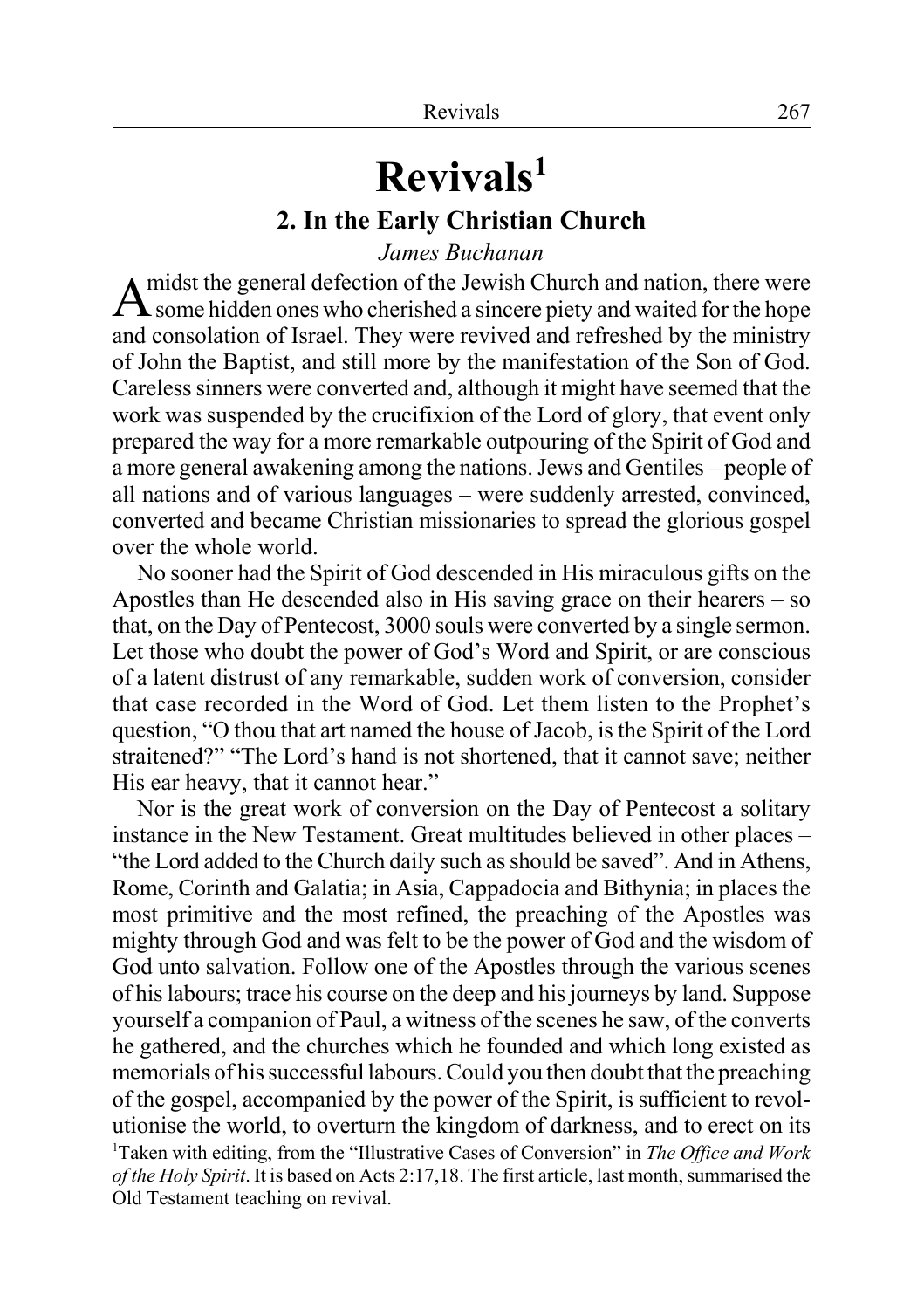# **Revivals1 2. In the Early Christian Church**

### *James Buchanan*

 $A$  midst the general defection of the Jewish Church and nation, there were<br>Some hidden ones who cherished a sincere piety and waited for the hope and consolation of Israel. They were revived and refreshed by the ministry of John the Baptist, and still more by the manifestation of the Son of God. Careless sinners were converted and, although it might have seemed that the work was suspended by the crucifixion of the Lord of glory, that event only prepared the way for a more remarkable outpouring of the Spirit of God and a more general awakening among the nations. Jews and Gentiles – people of all nations and of various languages – were suddenly arrested, convinced, converted and became Christian missionaries to spread the glorious gospel over the whole world.

No sooner had the Spirit of God descended in His miraculous gifts on the Apostles than He descended also in His saving grace on their hearers – so that, on the Day of Pentecost, 3000 souls were converted by a single sermon. Let those who doubt the power of God's Word and Spirit, or are conscious of a latent distrust of any remarkable, sudden work of conversion, consider that case recorded in the Word of God. Let them listen to the Prophet's question, "O thou that art named the house of Jacob, is the Spirit of the Lord straitened?" "The Lord's hand is not shortened, that it cannot save; neither His ear heavy, that it cannot hear."

Nor is the great work of conversion on the Day of Pentecost a solitary instance in the New Testament. Great multitudes believed in other places – "the Lord added to the Church daily such as should be saved". And in Athens, Rome, Corinth and Galatia; in Asia, Cappadocia and Bithynia; in places the most primitive and the most refined, the preaching of the Apostles was mighty through God and was felt to be the power of God and the wisdom of God unto salvation. Follow one of the Apostles through the various scenes of his labours; trace his course on the deep and his journeys by land. Suppose yourself a companion of Paul, a witness of the scenes he saw, of the converts he gathered, and the churches which he founded and which long existed as memorials of his successful labours. Could you then doubt that the preaching of the gospel, accompanied by the power of the Spirit, is sufficient to revolutionise the world, to overturn the kingdom of darkness, and to erect on its 1 Taken with editing, from the "Illustrative Cases of Conversion" in *The Office and Work of the Holy Spirit*. It is based on Acts 2:17,18. The first article, last month, summarised the Old Testament teaching on revival.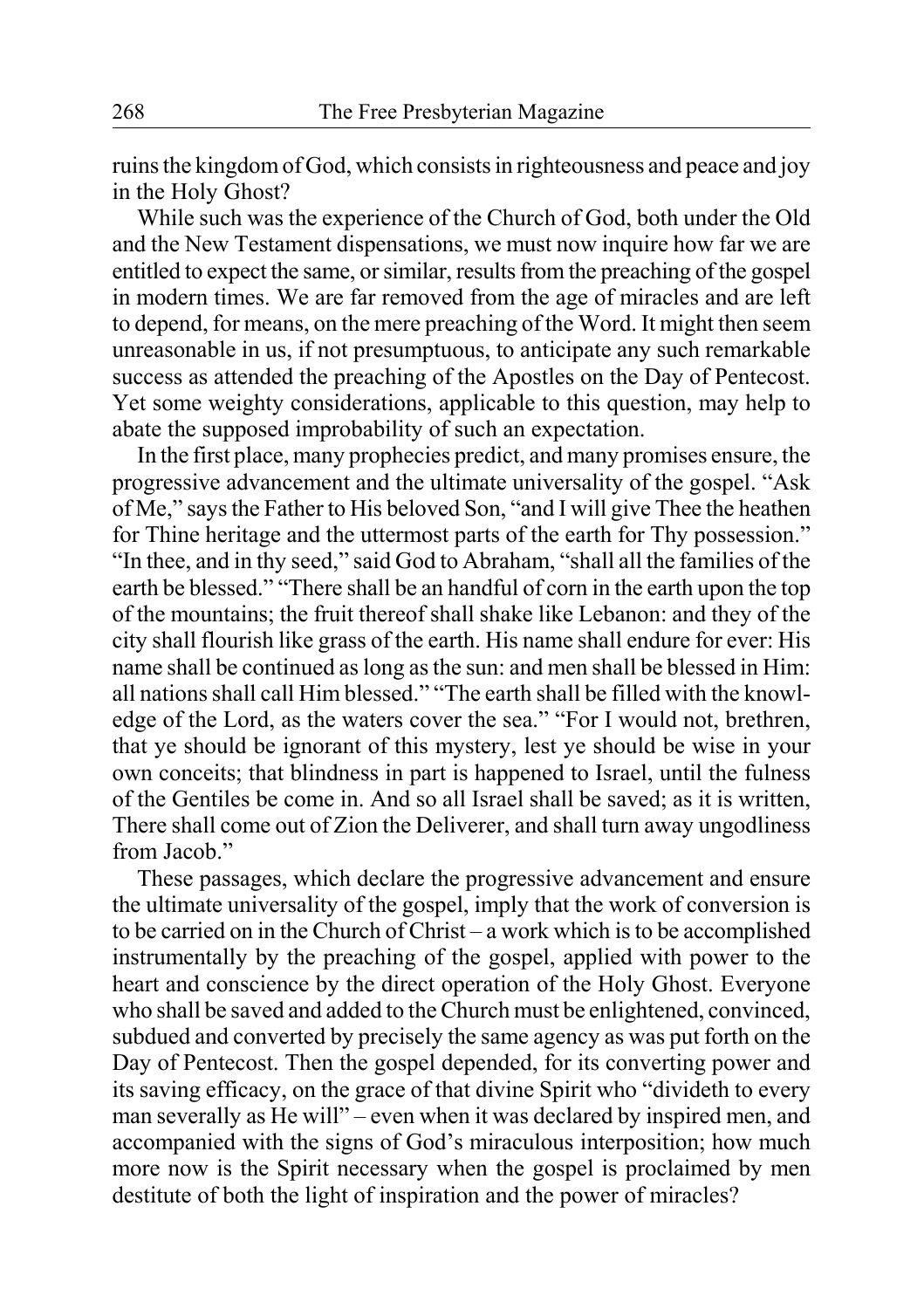ruins the kingdom of God, which consists in righteousness and peace and joy in the Holy Ghost?

While such was the experience of the Church of God, both under the Old and the New Testament dispensations, we must now inquire how far we are entitled to expect the same, or similar, results from the preaching of the gospel in modern times. We are far removed from the age of miracles and are left to depend, for means, on the mere preaching of the Word. It might then seem unreasonable in us, if not presumptuous, to anticipate any such remarkable success as attended the preaching of the Apostles on the Day of Pentecost. Yet some weighty considerations, applicable to this question, may help to abate the supposed improbability of such an expectation.

In the first place, many prophecies predict, and many promises ensure, the progressive advancement and the ultimate universality of the gospel. "Ask of Me," says the Father to His beloved Son, "and I will give Thee the heathen for Thine heritage and the uttermost parts of the earth for Thy possession." "In thee, and in thy seed," said God to Abraham, "shall all the families of the earth be blessed." "There shall be an handful of corn in the earth upon the top of the mountains; the fruit thereof shall shake like Lebanon: and they of the city shall flourish like grass of the earth. His name shall endure for ever: His name shall be continued as long as the sun: and men shall be blessed in Him: all nations shall call Him blessed." "The earth shall be filled with the knowledge of the Lord, as the waters cover the sea." "For I would not, brethren, that ye should be ignorant of this mystery, lest ye should be wise in your own conceits; that blindness in part is happened to Israel, until the fulness of the Gentiles be come in. And so all Israel shall be saved; as it is written, There shall come out of Zion the Deliverer, and shall turn away ungodliness from Jacob."

These passages, which declare the progressive advancement and ensure the ultimate universality of the gospel, imply that the work of conversion is to be carried on in the Church of Christ – a work which is to be accomplished instrumentally by the preaching of the gospel, applied with power to the heart and conscience by the direct operation of the Holy Ghost. Everyone who shall be saved and added to the Church must be enlightened, convinced, subdued and converted by precisely the same agency as was put forth on the Day of Pentecost. Then the gospel depended, for its converting power and its saving efficacy, on the grace of that divine Spirit who "divideth to every man severally as He will" – even when it was declared by inspired men, and accompanied with the signs of God's miraculous interposition; how much more now is the Spirit necessary when the gospel is proclaimed by men destitute of both the light of inspiration and the power of miracles?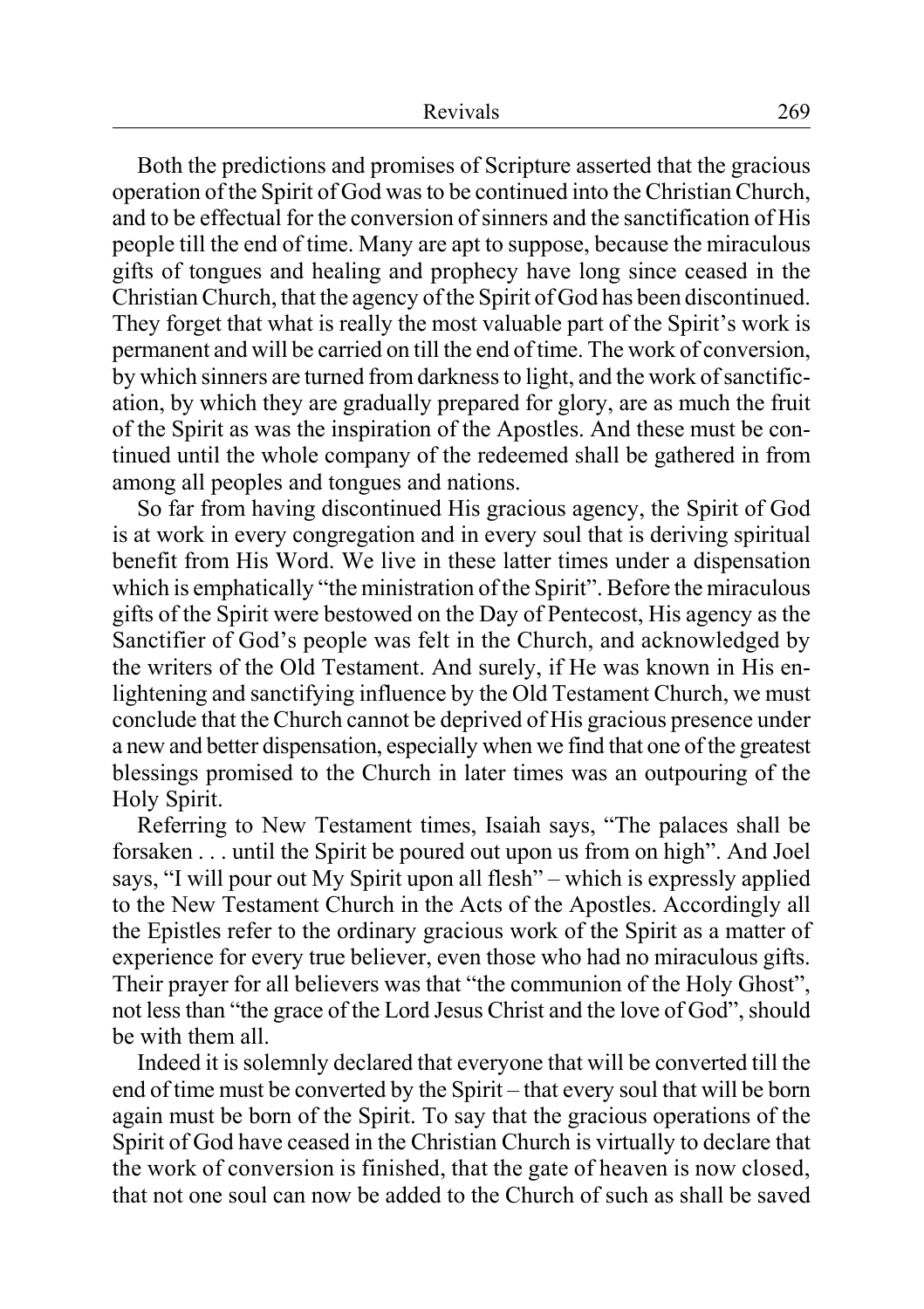Both the predictions and promises of Scripture asserted that the gracious operation of the Spirit of God was to be continued into the Christian Church, and to be effectual for the conversion of sinners and the sanctification of His people till the end of time. Many are apt to suppose, because the miraculous gifts of tongues and healing and prophecy have long since ceased in the Christian Church, that the agency of the Spirit of God has been discontinued. They forget that what is really the most valuable part of the Spirit's work is permanent and will be carried on till the end of time. The work of conversion, by which sinners are turned from darkness to light, and the work of sanctification, by which they are gradually prepared for glory, are as much the fruit of the Spirit as was the inspiration of the Apostles. And these must be continued until the whole company of the redeemed shall be gathered in from among all peoples and tongues and nations.

So far from having discontinued His gracious agency, the Spirit of God is at work in every congregation and in every soul that is deriving spiritual benefit from His Word. We live in these latter times under a dispensation which is emphatically "the ministration of the Spirit". Before the miraculous gifts of the Spirit were bestowed on the Day of Pentecost, His agency as the Sanctifier of God's people was felt in the Church, and acknowledged by the writers of the Old Testament. And surely, if He was known in His enlightening and sanctifying influence by the Old Testament Church, we must conclude that the Church cannot be deprived of His gracious presence under a new and better dispensation, especially when we find that one of the greatest blessings promised to the Church in later times was an outpouring of the Holy Spirit.

Referring to New Testament times, Isaiah says, "The palaces shall be forsaken . . . until the Spirit be poured out upon us from on high". And Joel says, "I will pour out My Spirit upon all flesh" – which is expressly applied to the New Testament Church in the Acts of the Apostles. Accordingly all the Epistles refer to the ordinary gracious work of the Spirit as a matter of experience for every true believer, even those who had no miraculous gifts. Their prayer for all believers was that "the communion of the Holy Ghost", not less than "the grace of the Lord Jesus Christ and the love of God", should be with them all.

Indeed it is solemnly declared that everyone that will be converted till the end of time must be converted by the Spirit – that every soul that will be born again must be born of the Spirit. To say that the gracious operations of the Spirit of God have ceased in the Christian Church is virtually to declare that the work of conversion is finished, that the gate of heaven is now closed, that not one soul can now be added to the Church of such as shall be saved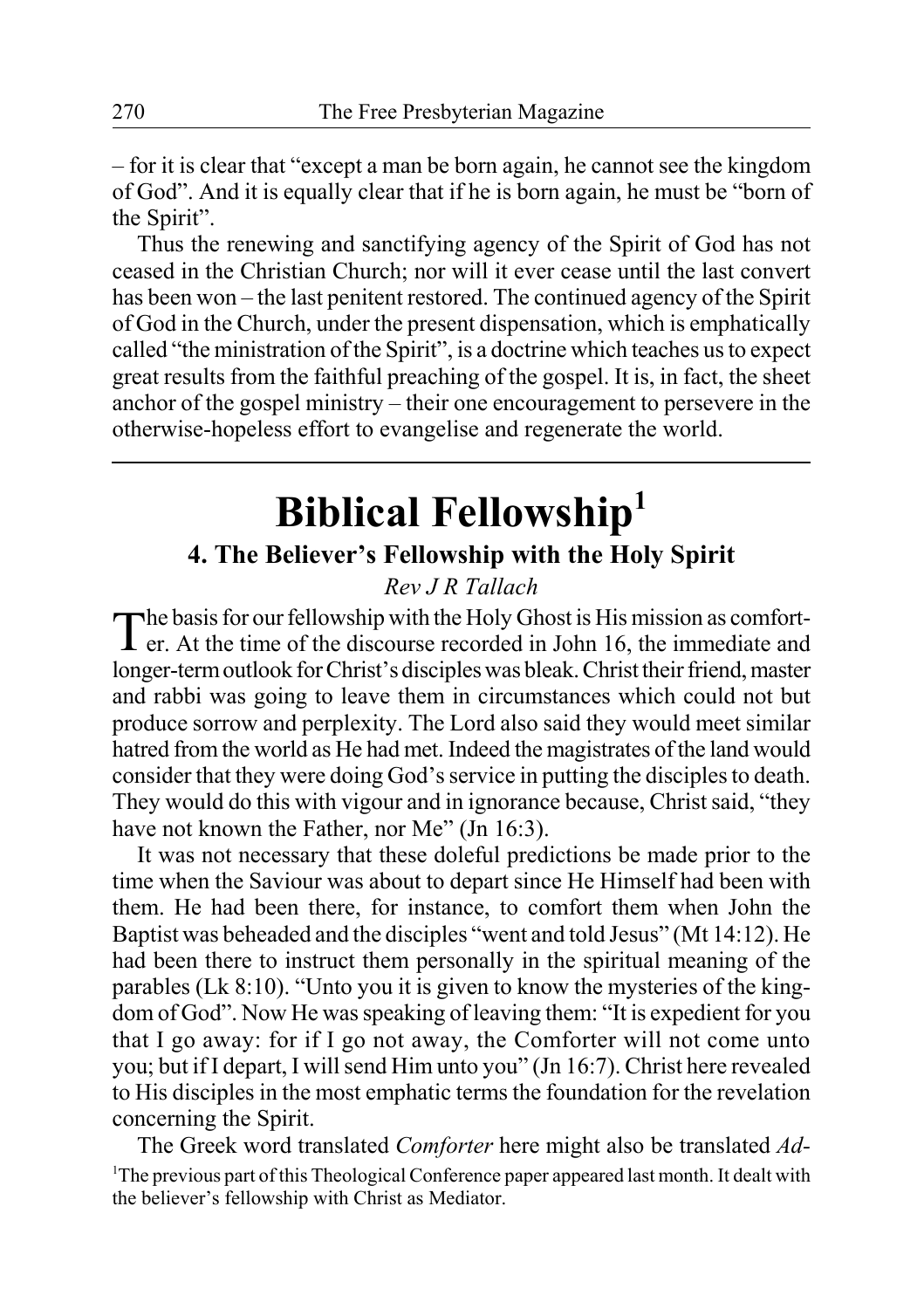– for it is clear that "except a man be born again, he cannot see the kingdom of God". And it is equally clear that if he is born again, he must be "born of the Spirit".

Thus the renewing and sanctifying agency of the Spirit of God has not ceased in the Christian Church; nor will it ever cease until the last convert has been won – the last penitent restored. The continued agency of the Spirit of God in the Church, under the present dispensation, which is emphatically called "the ministration of the Spirit", is a doctrine which teaches us to expect great results from the faithful preaching of the gospel. It is, in fact, the sheet anchor of the gospel ministry – their one encouragement to persevere in the otherwise-hopeless effort to evangelise and regenerate the world.

# **Biblical Fellowship1**

### **4. The Believer's Fellowship with the Holy Spirit**

### *Rev J R Tallach*

 $\blacktriangleright$  the basis for our fellowship with the Holy Ghost is His mission as comfort-**L** er. At the time of the discourse recorded in John 16, the immediate and longer-term outlook for Christ's disciples was bleak. Christ their friend, master and rabbi was going to leave them in circumstances which could not but produce sorrow and perplexity. The Lord also said they would meet similar hatred from the world as He had met. Indeed the magistrates of the land would consider that they were doing God's service in putting the disciples to death. They would do this with vigour and in ignorance because, Christ said, "they have not known the Father, nor Me" (Jn 16:3).

It was not necessary that these doleful predictions be made prior to the time when the Saviour was about to depart since He Himself had been with them. He had been there, for instance, to comfort them when John the Baptist was beheaded and the disciples "went and told Jesus" (Mt 14:12). He had been there to instruct them personally in the spiritual meaning of the parables (Lk 8:10). "Unto you it is given to know the mysteries of the kingdom of God". Now He was speaking of leaving them: "It is expedient for you that I go away: for if I go not away, the Comforter will not come unto you; but if I depart, I will send Him unto you" (Jn 16:7). Christ here revealed to His disciples in the most emphatic terms the foundation for the revelation concerning the Spirit.

The Greek word translated *Comforter* here might also be translated *Ad-* <sup>1</sup>The previous part of this Theological Conference paper appeared last month. It dealt with the believer's fellowship with Christ as Mediator.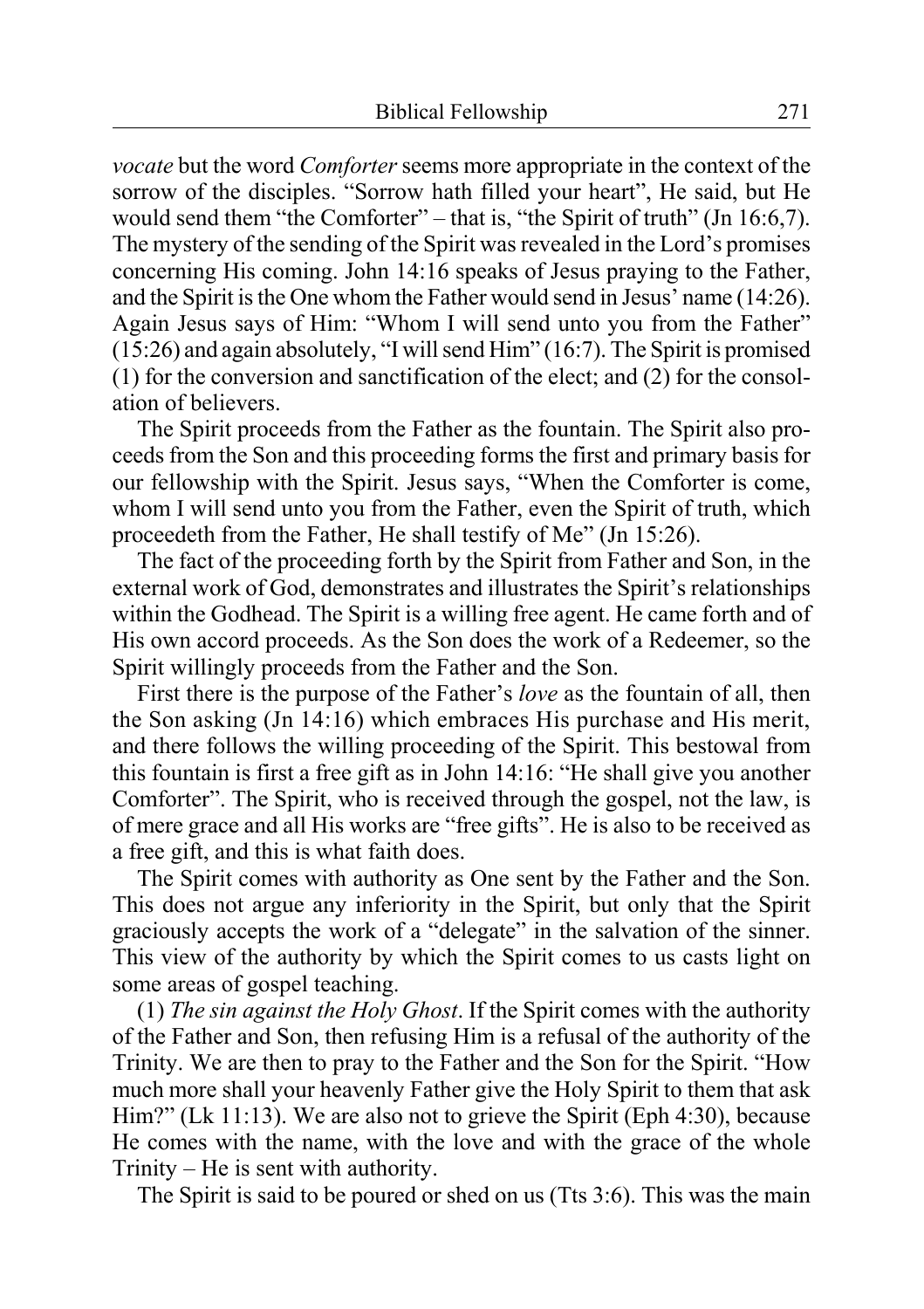*vocate* but the word *Comforter* seems more appropriate in the context of the sorrow of the disciples. "Sorrow hath filled your heart", He said, but He would send them "the Comforter" – that is, "the Spirit of truth" (Jn 16:6,7). The mystery of the sending of the Spirit was revealed in the Lord's promises concerning His coming. John 14:16 speaks of Jesus praying to the Father, and the Spirit is the One whom the Father would send in Jesus' name (14:26). Again Jesus says of Him: "Whom I will send unto you from the Father" (15:26) and again absolutely, "I will send Him" (16:7). The Spirit is promised (1) for the conversion and sanctification of the elect; and (2) for the consolation of believers.

The Spirit proceeds from the Father as the fountain. The Spirit also proceeds from the Son and this proceeding forms the first and primary basis for our fellowship with the Spirit. Jesus says, "When the Comforter is come, whom I will send unto you from the Father, even the Spirit of truth, which proceedeth from the Father, He shall testify of Me" (Jn 15:26).

The fact of the proceeding forth by the Spirit from Father and Son, in the external work of God, demonstrates and illustrates the Spirit's relationships within the Godhead. The Spirit is a willing free agent. He came forth and of His own accord proceeds. As the Son does the work of a Redeemer, so the Spirit willingly proceeds from the Father and the Son.

First there is the purpose of the Father's *love* as the fountain of all, then the Son asking (Jn 14:16) which embraces His purchase and His merit, and there follows the willing proceeding of the Spirit. This bestowal from this fountain is first a free gift as in John 14:16: "He shall give you another Comforter". The Spirit, who is received through the gospel, not the law, is of mere grace and all His works are "free gifts". He is also to be received as a free gift, and this is what faith does.

The Spirit comes with authority as One sent by the Father and the Son. This does not argue any inferiority in the Spirit, but only that the Spirit graciously accepts the work of a "delegate" in the salvation of the sinner. This view of the authority by which the Spirit comes to us casts light on some areas of gospel teaching.

(1) *The sin against the Holy Ghost*. If the Spirit comes with the authority of the Father and Son, then refusing Him is a refusal of the authority of the Trinity. We are then to pray to the Father and the Son for the Spirit. "How much more shall your heavenly Father give the Holy Spirit to them that ask Him?" (Lk 11:13). We are also not to grieve the Spirit (Eph 4:30), because He comes with the name, with the love and with the grace of the whole Trinity – He is sent with authority.

The Spirit is said to be poured or shed on us (Tts 3:6). This was the main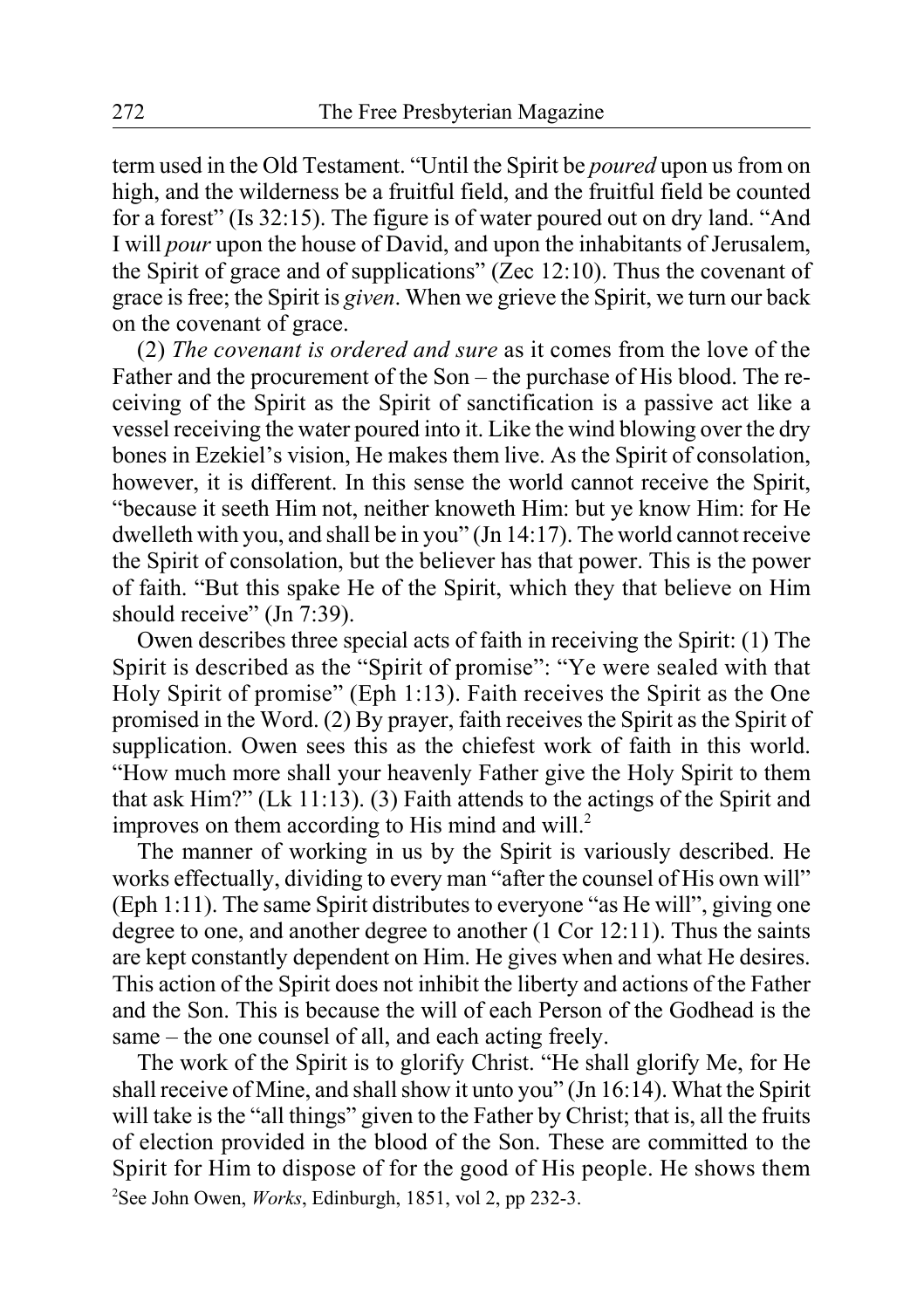term used in the Old Testament. "Until the Spirit be *poured* upon us from on high, and the wilderness be a fruitful field, and the fruitful field be counted for a forest" (Is 32:15). The figure is of water poured out on dry land. "And I will *pour* upon the house of David, and upon the inhabitants of Jerusalem, the Spirit of grace and of supplications" (Zec 12:10). Thus the covenant of grace is free; the Spirit is *given*. When we grieve the Spirit, we turn our back on the covenant of grace.

(2) *The covenant is ordered and sure* as it comes from the love of the Father and the procurement of the Son – the purchase of His blood. The receiving of the Spirit as the Spirit of sanctification is a passive act like a vessel receiving the water poured into it. Like the wind blowing over the dry bones in Ezekiel's vision, He makes them live. As the Spirit of consolation, however, it is different. In this sense the world cannot receive the Spirit, "because it seeth Him not, neither knoweth Him: but ye know Him: for He dwelleth with you, and shall be in you" (Jn 14:17). The world cannot receive the Spirit of consolation, but the believer has that power. This is the power of faith. "But this spake He of the Spirit, which they that believe on Him should receive" (Jn 7:39).

Owen describes three special acts of faith in receiving the Spirit: (1) The Spirit is described as the "Spirit of promise": "Ye were sealed with that Holy Spirit of promise" (Eph 1:13). Faith receives the Spirit as the One promised in the Word. (2) By prayer, faith receives the Spirit as the Spirit of supplication. Owen sees this as the chiefest work of faith in this world. "How much more shall your heavenly Father give the Holy Spirit to them that ask Him?" (Lk 11:13). (3) Faith attends to the actings of the Spirit and improves on them according to His mind and will.<sup>2</sup>

The manner of working in us by the Spirit is variously described. He works effectually, dividing to every man "after the counsel of His own will" (Eph 1:11). The same Spirit distributes to everyone "as He will", giving one degree to one, and another degree to another (1 Cor 12:11). Thus the saints are kept constantly dependent on Him. He gives when and what He desires. This action of the Spirit does not inhibit the liberty and actions of the Father and the Son. This is because the will of each Person of the Godhead is the same – the one counsel of all, and each acting freely.

The work of the Spirit is to glorify Christ. "He shall glorify Me, for He shall receive of Mine, and shall show it unto you" (Jn 16:14). What the Spirit will take is the "all things" given to the Father by Christ; that is, all the fruits of election provided in the blood of the Son. These are committed to the Spirit for Him to dispose of for the good of His people. He shows them 2 See John Owen, *Works*, Edinburgh, 1851, vol 2, pp 232-3.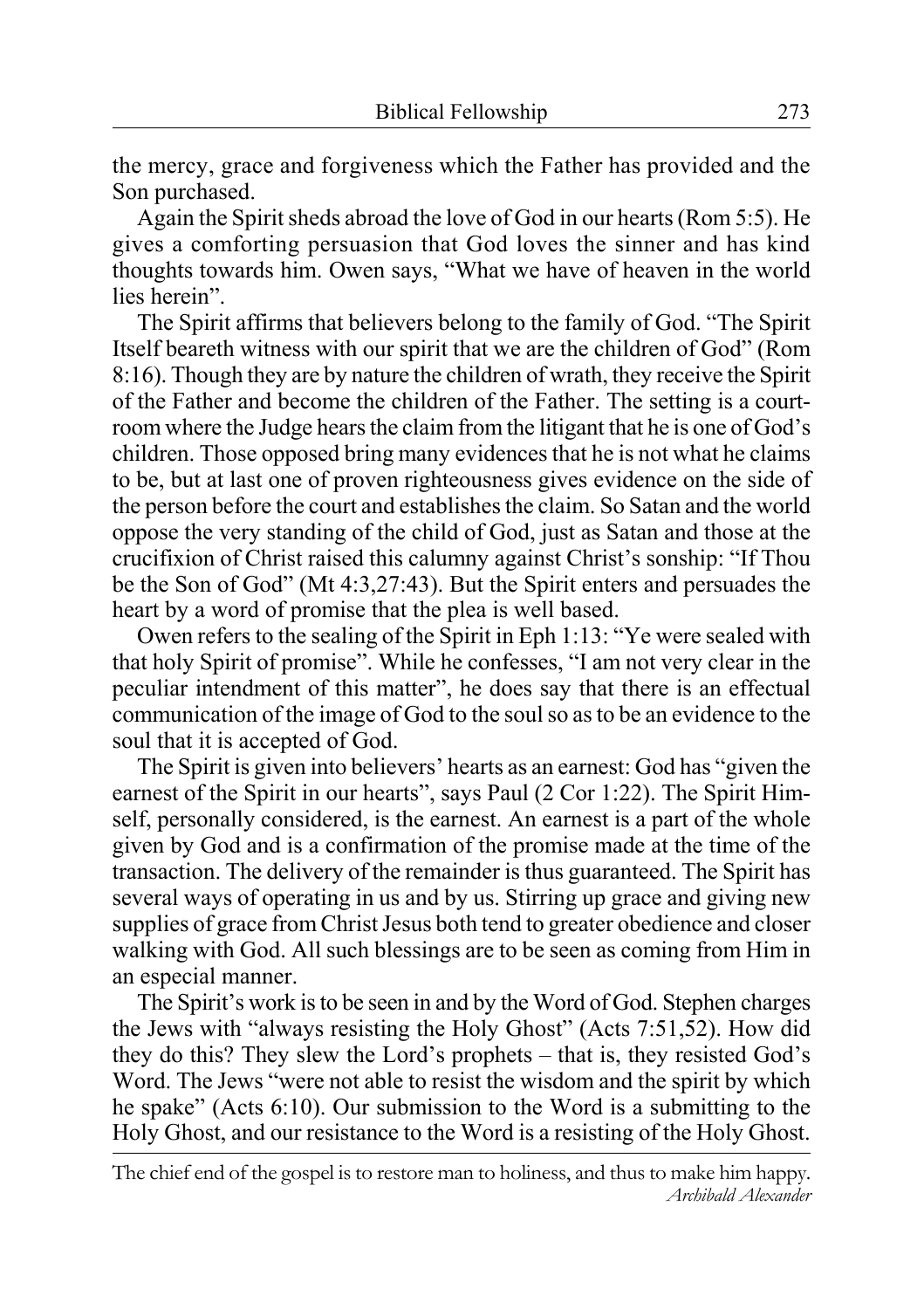the mercy, grace and forgiveness which the Father has provided and the Son purchased.

Again the Spirit sheds abroad the love of God in our hearts (Rom 5:5). He gives a comforting persuasion that God loves the sinner and has kind thoughts towards him. Owen says, "What we have of heaven in the world lies herein".

The Spirit affirms that believers belong to the family of God. "The Spirit Itself beareth witness with our spirit that we are the children of God" (Rom 8:16). Though they are by nature the children of wrath, they receive the Spirit of the Father and become the children of the Father. The setting is a courtroom where the Judge hears the claim from the litigant that he is one of God's children. Those opposed bring many evidences that he is not what he claims to be, but at last one of proven righteousness gives evidence on the side of the person before the court and establishes the claim. So Satan and the world oppose the very standing of the child of God, just as Satan and those at the crucifixion of Christ raised this calumny against Christ's sonship: "If Thou be the Son of God" (Mt 4:3,27:43). But the Spirit enters and persuades the heart by a word of promise that the plea is well based.

Owen refers to the sealing of the Spirit in Eph 1:13: "Ye were sealed with that holy Spirit of promise". While he confesses, "I am not very clear in the peculiar intendment of this matter", he does say that there is an effectual communication of the image of God to the soul so as to be an evidence to the soul that it is accepted of God.

The Spirit is given into believers' hearts as an earnest: God has "given the earnest of the Spirit in our hearts", says Paul (2 Cor 1:22). The Spirit Himself, personally considered, is the earnest. An earnest is a part of the whole given by God and is a confirmation of the promise made at the time of the transaction. The delivery of the remainder is thus guaranteed. The Spirit has several ways of operating in us and by us. Stirring up grace and giving new supplies of grace from Christ Jesus both tend to greater obedience and closer walking with God. All such blessings are to be seen as coming from Him in an especial manner.

The Spirit's work is to be seen in and by the Word of God. Stephen charges the Jews with "always resisting the Holy Ghost" (Acts 7:51,52). How did they do this? They slew the Lord's prophets – that is, they resisted God's Word. The Jews "were not able to resist the wisdom and the spirit by which he spake" (Acts 6:10). Our submission to the Word is a submitting to the Holy Ghost, and our resistance to the Word is a resisting of the Holy Ghost.

The chief end of the gospel is to restore man to holiness, and thus to make him happy. *Archibald Alexander*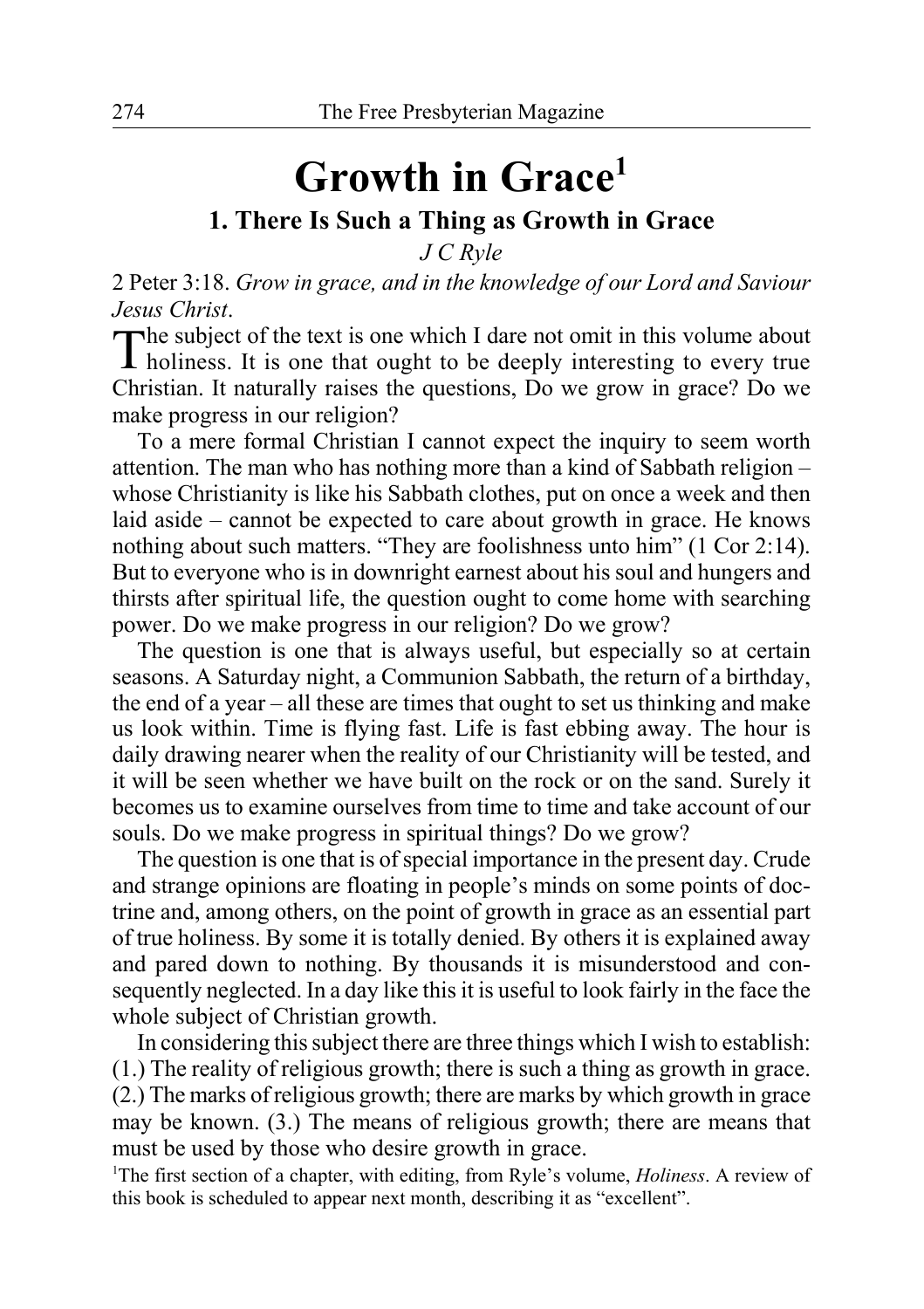# Growth in Grace<sup>1</sup>

### **1. There Is Such a Thing as Growth in Grace**

*J C Ryle*

2 Peter 3:18. *Grow in grace, and in the knowledge of our Lord and Saviour Jesus Christ*.

 $\blacksquare$  the subject of the text is one which I dare not omit in this volume about **T** holiness. It is one that ought to be deeply interesting to every true Christian. It naturally raises the questions, Do we grow in grace? Do we make progress in our religion?

To a mere formal Christian I cannot expect the inquiry to seem worth attention. The man who has nothing more than a kind of Sabbath religion – whose Christianity is like his Sabbath clothes, put on once a week and then laid aside – cannot be expected to care about growth in grace. He knows nothing about such matters. "They are foolishness unto him" (1 Cor 2:14). But to everyone who is in downright earnest about his soul and hungers and thirsts after spiritual life, the question ought to come home with searching power. Do we make progress in our religion? Do we grow?

The question is one that is always useful, but especially so at certain seasons. A Saturday night, a Communion Sabbath, the return of a birthday, the end of a year – all these are times that ought to set us thinking and make us look within. Time is flying fast. Life is fast ebbing away. The hour is daily drawing nearer when the reality of our Christianity will be tested, and it will be seen whether we have built on the rock or on the sand. Surely it becomes us to examine ourselves from time to time and take account of our souls. Do we make progress in spiritual things? Do we grow?

The question is one that is of special importance in the present day. Crude and strange opinions are floating in people's minds on some points of doctrine and, among others, on the point of growth in grace as an essential part of true holiness. By some it is totally denied. By others it is explained away and pared down to nothing. By thousands it is misunderstood and consequently neglected. In a day like this it is useful to look fairly in the face the whole subject of Christian growth.

In considering this subject there are three things which I wish to establish: (1.) The reality of religious growth; there is such a thing as growth in grace. (2.) The marks of religious growth; there are marks by which growth in grace may be known. (3.) The means of religious growth; there are means that must be used by those who desire growth in grace.

<sup>1</sup>The first section of a chapter, with editing, from Ryle's volume, *Holiness*. A review of this book is scheduled to appear next month, describing it as "excellent".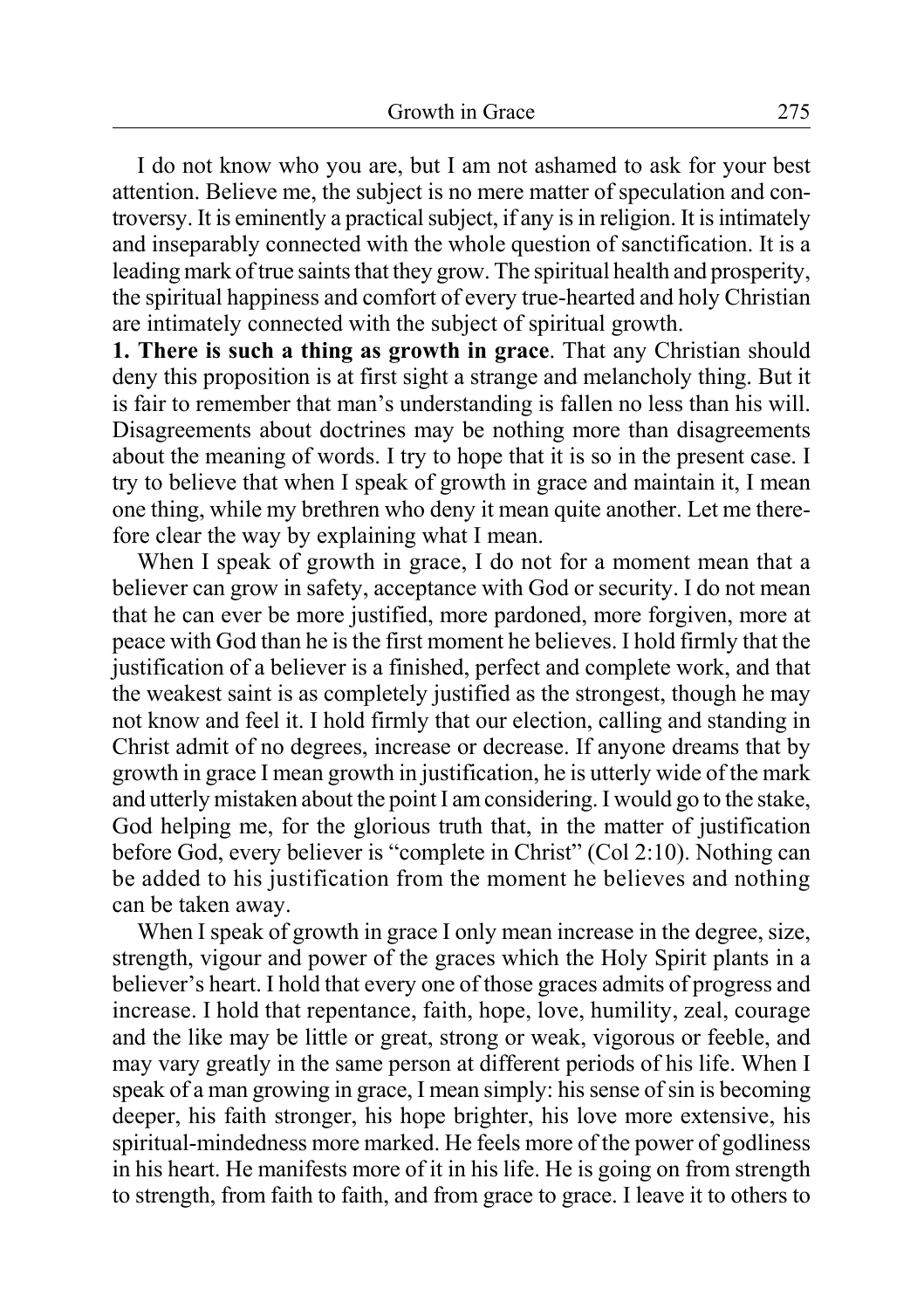I do not know who you are, but I am not ashamed to ask for your best attention. Believe me, the subject is no mere matter of speculation and controversy. It is eminently a practical subject, if any is in religion. It is intimately and inseparably connected with the whole question of sanctification. It is a leading mark of true saints that they grow. The spiritual health and prosperity, the spiritual happiness and comfort of every true-hearted and holy Christian are intimately connected with the subject of spiritual growth.

**1. There is such a thing as growth in grace**. That any Christian should deny this proposition is at first sight a strange and melancholy thing. But it is fair to remember that man's understanding is fallen no less than his will. Disagreements about doctrines may be nothing more than disagreements about the meaning of words. I try to hope that it is so in the present case. I try to believe that when I speak of growth in grace and maintain it, I mean one thing, while my brethren who deny it mean quite another. Let me therefore clear the way by explaining what I mean.

When I speak of growth in grace, I do not for a moment mean that a believer can grow in safety, acceptance with God or security. I do not mean that he can ever be more justified, more pardoned, more forgiven, more at peace with God than he is the first moment he believes. I hold firmly that the justification of a believer is a finished, perfect and complete work, and that the weakest saint is as completely justified as the strongest, though he may not know and feel it. I hold firmly that our election, calling and standing in Christ admit of no degrees, increase or decrease. If anyone dreams that by growth in grace I mean growth in justification, he is utterly wide of the mark and utterly mistaken about the point I am considering. I would go to the stake, God helping me, for the glorious truth that, in the matter of justification before God, every believer is "complete in Christ" (Col 2:10). Nothing can be added to his justification from the moment he believes and nothing can be taken away.

When I speak of growth in grace I only mean increase in the degree, size, strength, vigour and power of the graces which the Holy Spirit plants in a believer's heart. I hold that every one of those graces admits of progress and increase. I hold that repentance, faith, hope, love, humility, zeal, courage and the like may be little or great, strong or weak, vigorous or feeble, and may vary greatly in the same person at different periods of his life. When I speak of a man growing in grace, I mean simply: his sense of sin is becoming deeper, his faith stronger, his hope brighter, his love more extensive, his spiritual-mindedness more marked. He feels more of the power of godliness in his heart. He manifests more of it in his life. He is going on from strength to strength, from faith to faith, and from grace to grace. I leave it to others to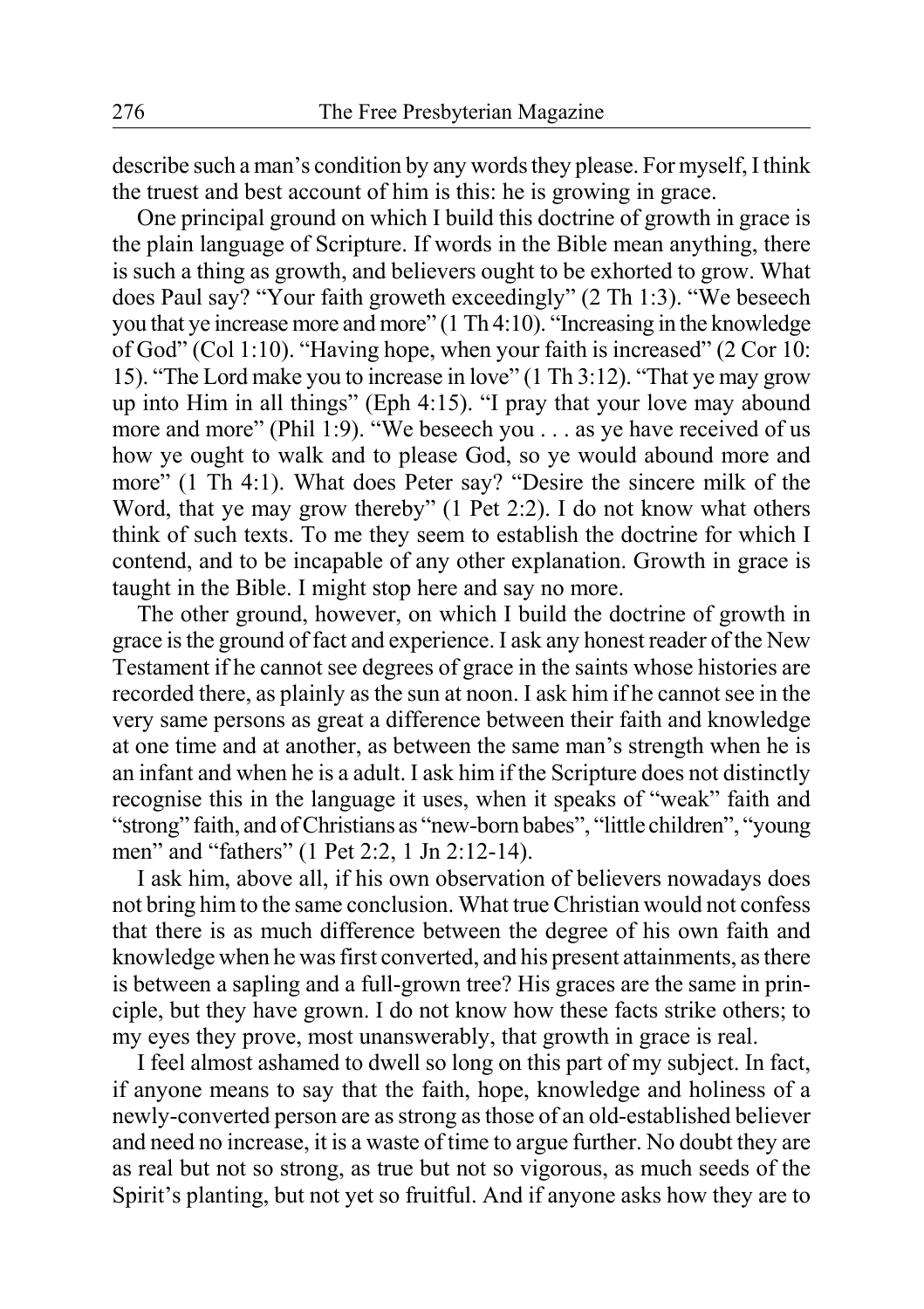describe such a man's condition by any words they please. For myself, I think the truest and best account of him is this: he is growing in grace.

One principal ground on which I build this doctrine of growth in grace is the plain language of Scripture. If words in the Bible mean anything, there is such a thing as growth, and believers ought to be exhorted to grow. What does Paul say? "Your faith groweth exceedingly" (2 Th 1:3). "We beseech you that ye increase more and more" (1 Th 4:10). "Increasing in the knowledge of God" (Col 1:10). "Having hope, when your faith is increased" (2 Cor 10: 15). "The Lord make you to increase in love" (1 Th 3:12). "That ye may grow up into Him in all things" (Eph 4:15). "I pray that your love may abound more and more" (Phil 1:9). "We beseech you . . . as ye have received of us how ye ought to walk and to please God, so ye would abound more and more" (1 Th 4:1). What does Peter say? "Desire the sincere milk of the Word, that ye may grow thereby" (1 Pet 2:2). I do not know what others think of such texts. To me they seem to establish the doctrine for which I contend, and to be incapable of any other explanation. Growth in grace is taught in the Bible. I might stop here and say no more.

The other ground, however, on which I build the doctrine of growth in grace is the ground of fact and experience. I ask any honest reader of the New Testament if he cannot see degrees of grace in the saints whose histories are recorded there, as plainly as the sun at noon. I ask him if he cannot see in the very same persons as great a difference between their faith and knowledge at one time and at another, as between the same man's strength when he is an infant and when he is a adult. I ask him if the Scripture does not distinctly recognise this in the language it uses, when it speaks of "weak" faith and "strong" faith, and of Christians as "new-born babes", "little children", "young men" and "fathers" (1 Pet 2:2, 1 Jn 2:12-14).

I ask him, above all, if his own observation of believers nowadays does not bring him to the same conclusion. What true Christian would not confess that there is as much difference between the degree of his own faith and knowledge when he was first converted, and his present attainments, as there is between a sapling and a full-grown tree? His graces are the same in principle, but they have grown. I do not know how these facts strike others; to my eyes they prove, most unanswerably, that growth in grace is real.

I feel almost ashamed to dwell so long on this part of my subject. In fact, if anyone means to say that the faith, hope, knowledge and holiness of a newly-converted person are as strong as those of an old-established believer and need no increase, it is a waste of time to argue further. No doubt they are as real but not so strong, as true but not so vigorous, as much seeds of the Spirit's planting, but not yet so fruitful. And if anyone asks how they are to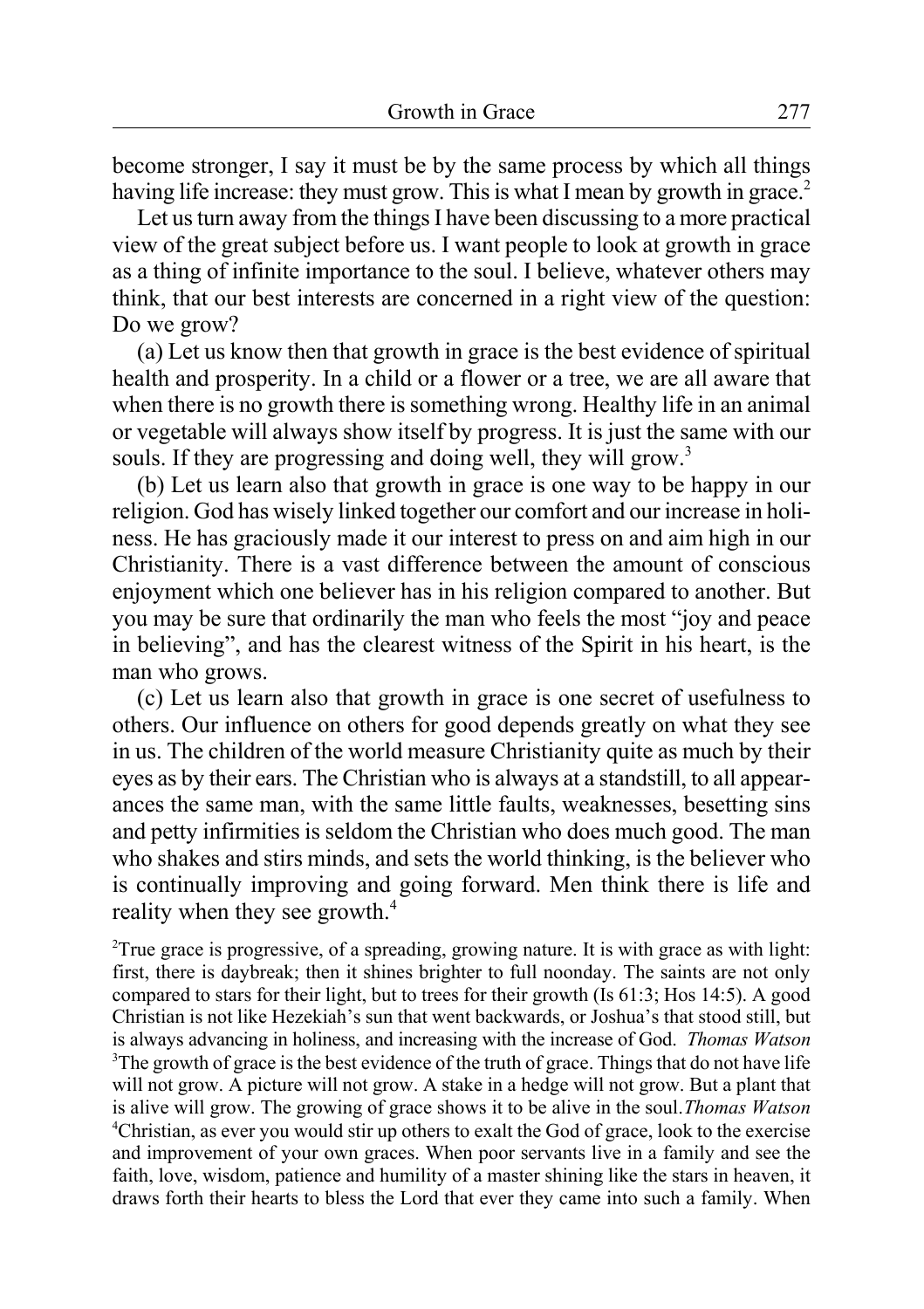become stronger, I say it must be by the same process by which all things having life increase: they must grow. This is what I mean by growth in grace.<sup>2</sup>

Let us turn away from the things I have been discussing to a more practical view of the great subject before us. I want people to look at growth in grace as a thing of infinite importance to the soul. I believe, whatever others may think, that our best interests are concerned in a right view of the question: Do we grow?

(a) Let us know then that growth in grace is the best evidence of spiritual health and prosperity. In a child or a flower or a tree, we are all aware that when there is no growth there is something wrong. Healthy life in an animal or vegetable will always show itself by progress. It is just the same with our souls. If they are progressing and doing well, they will grow.<sup>3</sup>

(b) Let us learn also that growth in grace is one way to be happy in our religion. God has wisely linked together our comfort and our increase in holiness. He has graciously made it our interest to press on and aim high in our Christianity. There is a vast difference between the amount of conscious enjoyment which one believer has in his religion compared to another. But you may be sure that ordinarily the man who feels the most "joy and peace in believing", and has the clearest witness of the Spirit in his heart, is the man who grows.

(c) Let us learn also that growth in grace is one secret of usefulness to others. Our influence on others for good depends greatly on what they see in us. The children of the world measure Christianity quite as much by their eyes as by their ears. The Christian who is always at a standstill, to all appearances the same man, with the same little faults, weaknesses, besetting sins and petty infirmities is seldom the Christian who does much good. The man who shakes and stirs minds, and sets the world thinking, is the believer who is continually improving and going forward. Men think there is life and reality when they see growth.<sup>4</sup>

2 True grace is progressive, of a spreading, growing nature. It is with grace as with light: first, there is daybreak; then it shines brighter to full noonday. The saints are not only compared to stars for their light, but to trees for their growth (Is 61:3; Hos 14:5). A good Christian is not like Hezekiah's sun that went backwards, or Joshua's that stood still, but is always advancing in holiness, and increasing with the increase of God. *Thomas Watson* <sup>3</sup>The growth of grace is the best evidence of the truth of grace. Things that do not have life will not grow. A picture will not grow. A stake in a hedge will not grow. But a plant that is alive will grow. The growing of grace shows it to be alive in the soul.*Thomas Watson* <sup>4</sup>Christian, as ever you would stir up others to exalt the God of grace, look to the exercise and improvement of your own graces. When poor servants live in a family and see the faith, love, wisdom, patience and humility of a master shining like the stars in heaven, it draws forth their hearts to bless the Lord that ever they came into such a family. When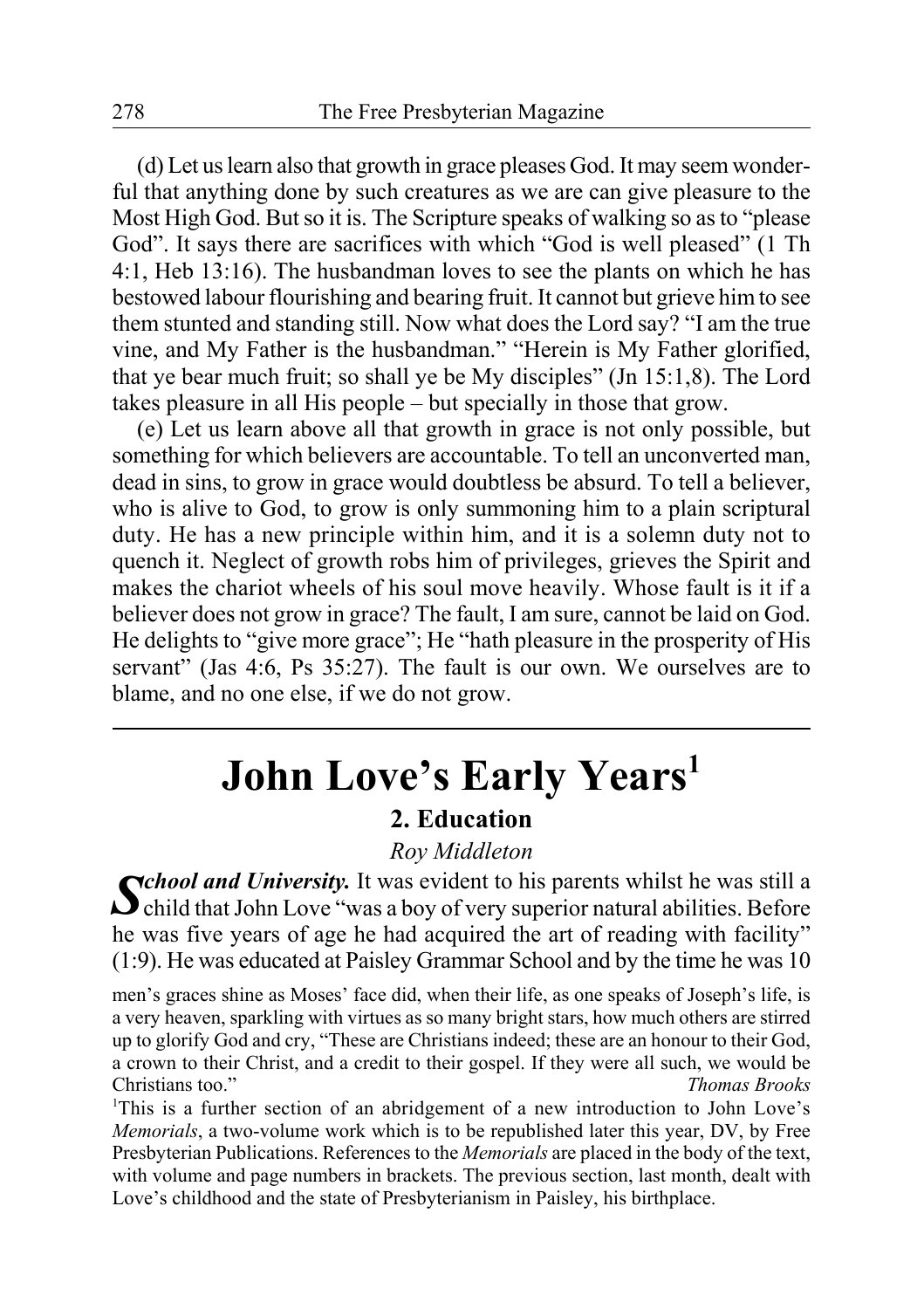(d) Let us learn also that growth in grace pleases God. It may seem wonderful that anything done by such creatures as we are can give pleasure to the Most High God. But so it is. The Scripture speaks of walking so as to "please God". It says there are sacrifices with which "God is well pleased" (1 Th 4:1, Heb 13:16). The husbandman loves to see the plants on which he has bestowed labour flourishing and bearing fruit. It cannot but grieve him to see them stunted and standing still. Now what does the Lord say? "I am the true vine, and My Father is the husbandman." "Herein is My Father glorified, that ye bear much fruit; so shall ye be My disciples" (Jn 15:1,8). The Lord takes pleasure in all His people – but specially in those that grow.

(e) Let us learn above all that growth in grace is not only possible, but something for which believers are accountable. To tell an unconverted man, dead in sins, to grow in grace would doubtless be absurd. To tell a believer, who is alive to God, to grow is only summoning him to a plain scriptural duty. He has a new principle within him, and it is a solemn duty not to quench it. Neglect of growth robs him of privileges, grieves the Spirit and makes the chariot wheels of his soul move heavily. Whose fault is it if a believer does not grow in grace? The fault, I am sure, cannot be laid on God. He delights to "give more grace"; He "hath pleasure in the prosperity of His servant" (Jas 4:6, Ps 35:27). The fault is our own. We ourselves are to blame, and no one else, if we do not grow.

# **John Love's Early Years1**

### **2. Education**

*Roy Middleton*

**School and University.** It was evident to his parents whilst he was still a child that John Love "was a boy of very superior natural abilities. Before he was five years of age he had acquired the art of reading with facility" (1:9). He was educated at Paisley Grammar School and by the time he was 10

men's graces shine as Moses' face did, when their life, as one speaks of Joseph's life, is a very heaven, sparkling with virtues as so many bright stars, how much others are stirred up to glorify God and cry, "These are Christians indeed; these are an honour to their God, a crown to their Christ, and a credit to their gospel. If they were all such, we would be Christians too." *Thomas Brooks*

<sup>1</sup>This is a further section of an abridgement of a new introduction to John Love's *Memorials*, a two-volume work which is to be republished later this year, DV, by Free Presbyterian Publications. References to the *Memorials* are placed in the body of the text, with volume and page numbers in brackets. The previous section, last month, dealt with Love's childhood and the state of Presbyterianism in Paisley, his birthplace.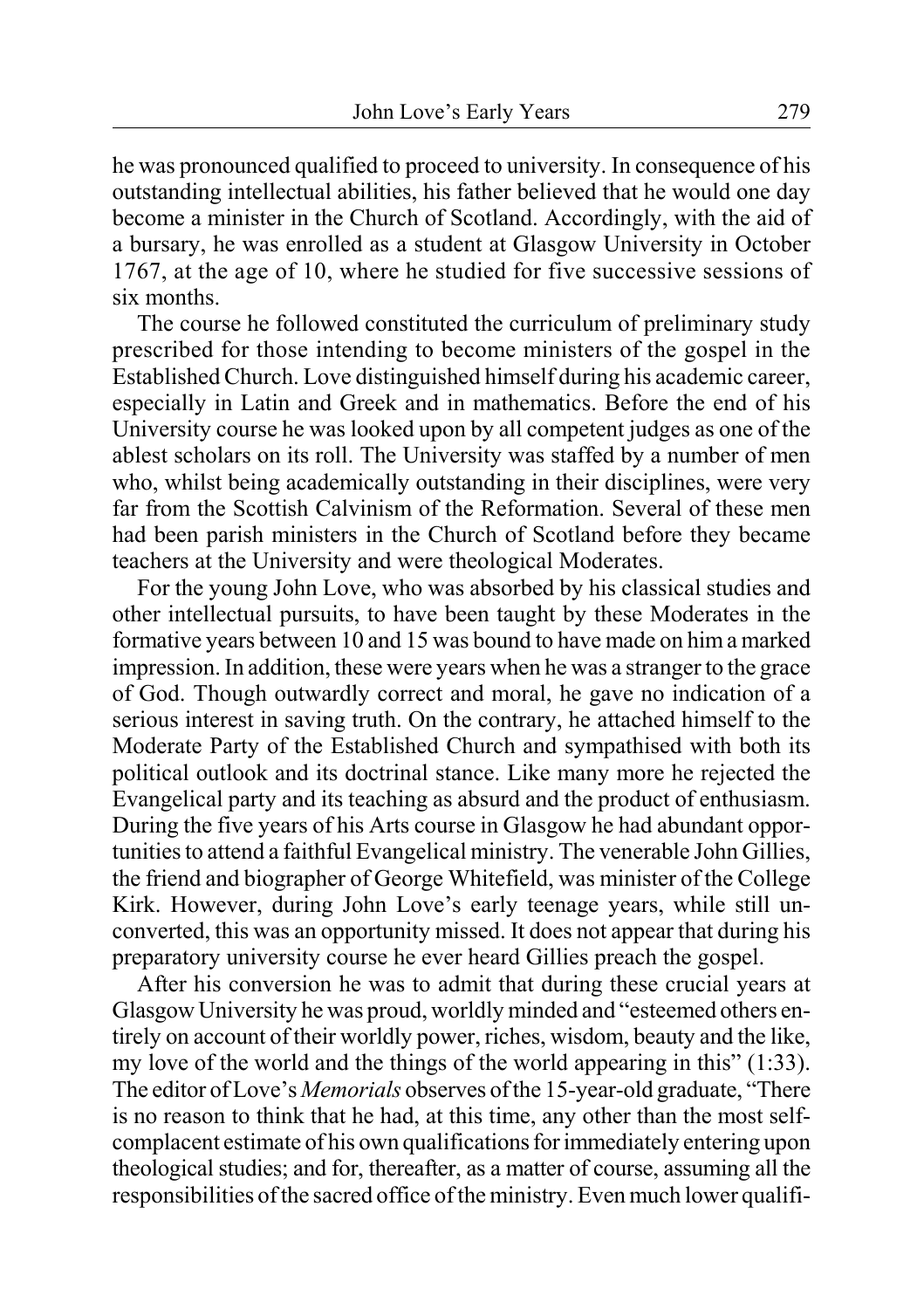he was pronounced qualified to proceed to university. In consequence of his outstanding intellectual abilities, his father believed that he would one day become a minister in the Church of Scotland. Accordingly, with the aid of a bursary, he was enrolled as a student at Glasgow University in October 1767, at the age of 10, where he studied for five successive sessions of six months.

The course he followed constituted the curriculum of preliminary study prescribed for those intending to become ministers of the gospel in the Established Church. Love distinguished himself during his academic career, especially in Latin and Greek and in mathematics. Before the end of his University course he was looked upon by all competent judges as one of the ablest scholars on its roll. The University was staffed by a number of men who, whilst being academically outstanding in their disciplines, were very far from the Scottish Calvinism of the Reformation. Several of these men had been parish ministers in the Church of Scotland before they became teachers at the University and were theological Moderates.

For the young John Love, who was absorbed by his classical studies and other intellectual pursuits, to have been taught by these Moderates in the formative years between 10 and 15 was bound to have made on him a marked impression. In addition, these were years when he was a stranger to the grace of God. Though outwardly correct and moral, he gave no indication of a serious interest in saving truth. On the contrary, he attached himself to the Moderate Party of the Established Church and sympathised with both its political outlook and its doctrinal stance. Like many more he rejected the Evangelical party and its teaching as absurd and the product of enthusiasm. During the five years of his Arts course in Glasgow he had abundant opportunities to attend a faithful Evangelical ministry. The venerable John Gillies, the friend and biographer of George Whitefield, was minister of the College Kirk. However, during John Love's early teenage years, while still unconverted, this was an opportunity missed. It does not appear that during his preparatory university course he ever heard Gillies preach the gospel.

After his conversion he was to admit that during these crucial years at Glasgow University he was proud, worldly minded and "esteemed others entirely on account of their worldly power, riches, wisdom, beauty and the like, my love of the world and the things of the world appearing in this" (1:33). The editor of Love's *Memorials* observes of the 15-year-old graduate, "There is no reason to think that he had, at this time, any other than the most selfcomplacent estimate of his own qualifications for immediately entering upon theological studies; and for, thereafter, as a matter of course, assuming all the responsibilities of the sacred office of the ministry. Even much lower qualifi-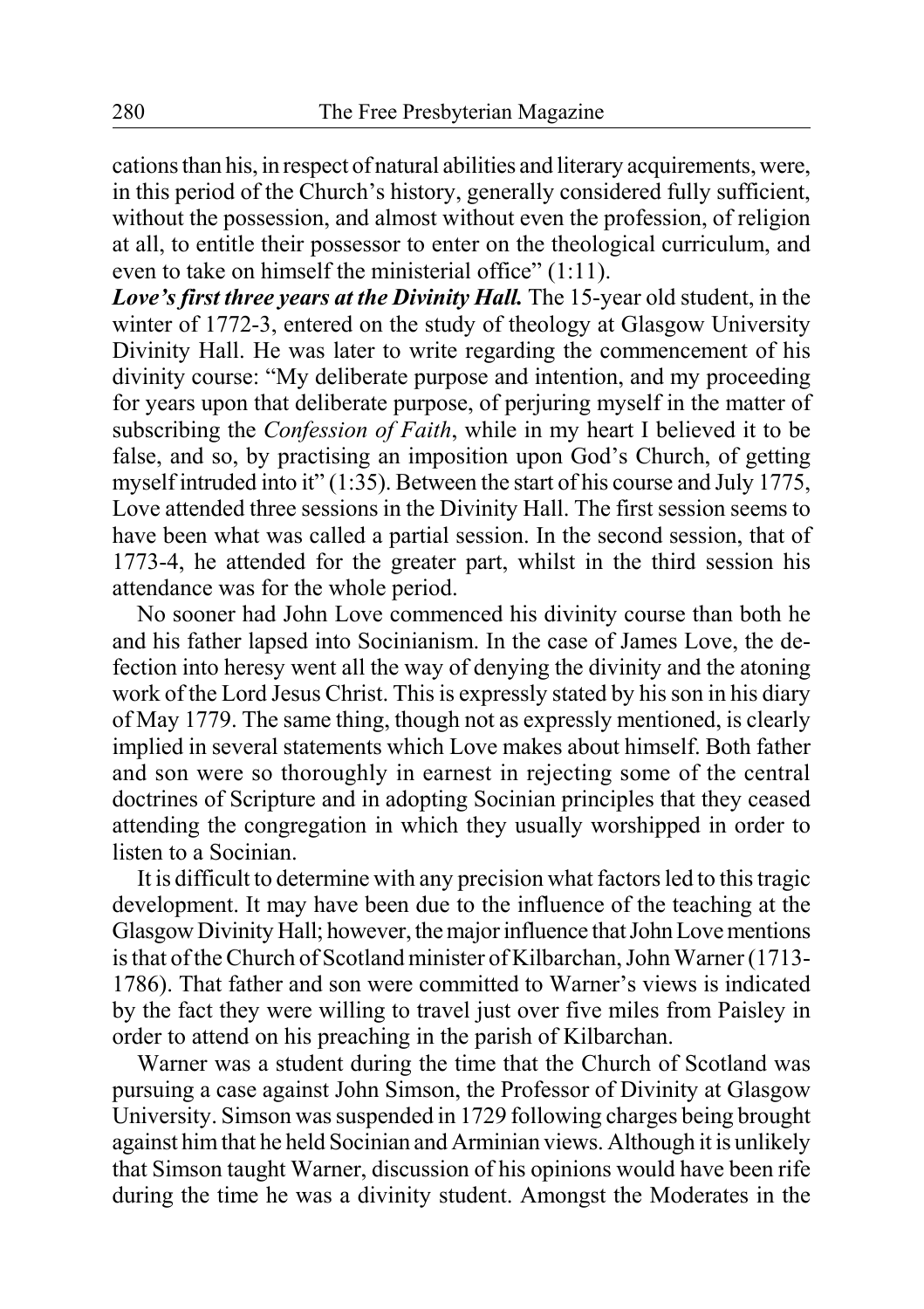cations than his, in respect of natural abilities and literary acquirements, were, in this period of the Church's history, generally considered fully sufficient, without the possession, and almost without even the profession, of religion at all, to entitle their possessor to enter on the theological curriculum, and even to take on himself the ministerial office" (1:11).

*Love's first three years at the Divinity Hall.* The 15-year old student, in the winter of 1772-3, entered on the study of theology at Glasgow University Divinity Hall. He was later to write regarding the commencement of his divinity course: "My deliberate purpose and intention, and my proceeding for years upon that deliberate purpose, of perjuring myself in the matter of subscribing the *Confession of Faith*, while in my heart I believed it to be false, and so, by practising an imposition upon God's Church, of getting myself intruded into it" (1:35). Between the start of his course and July 1775, Love attended three sessions in the Divinity Hall. The first session seems to have been what was called a partial session. In the second session, that of 1773-4, he attended for the greater part, whilst in the third session his attendance was for the whole period.

No sooner had John Love commenced his divinity course than both he and his father lapsed into Socinianism. In the case of James Love, the defection into heresy went all the way of denying the divinity and the atoning work of the Lord Jesus Christ. This is expressly stated by his son in his diary of May 1779. The same thing, though not as expressly mentioned, is clearly implied in several statements which Love makes about himself. Both father and son were so thoroughly in earnest in rejecting some of the central doctrines of Scripture and in adopting Socinian principles that they ceased attending the congregation in which they usually worshipped in order to listen to a Socinian.

It is difficult to determine with any precision what factors led to this tragic development. It may have been due to the influence of the teaching at the Glasgow Divinity Hall; however, the major influence that John Love mentions is that of the Church of Scotland minister of Kilbarchan, John Warner (1713- 1786). That father and son were committed to Warner's views is indicated by the fact they were willing to travel just over five miles from Paisley in order to attend on his preaching in the parish of Kilbarchan.

Warner was a student during the time that the Church of Scotland was pursuing a case against John Simson, the Professor of Divinity at Glasgow University. Simson was suspended in 1729 following charges being brought against him that he held Socinian and Arminian views. Although it is unlikely that Simson taught Warner, discussion of his opinions would have been rife during the time he was a divinity student. Amongst the Moderates in the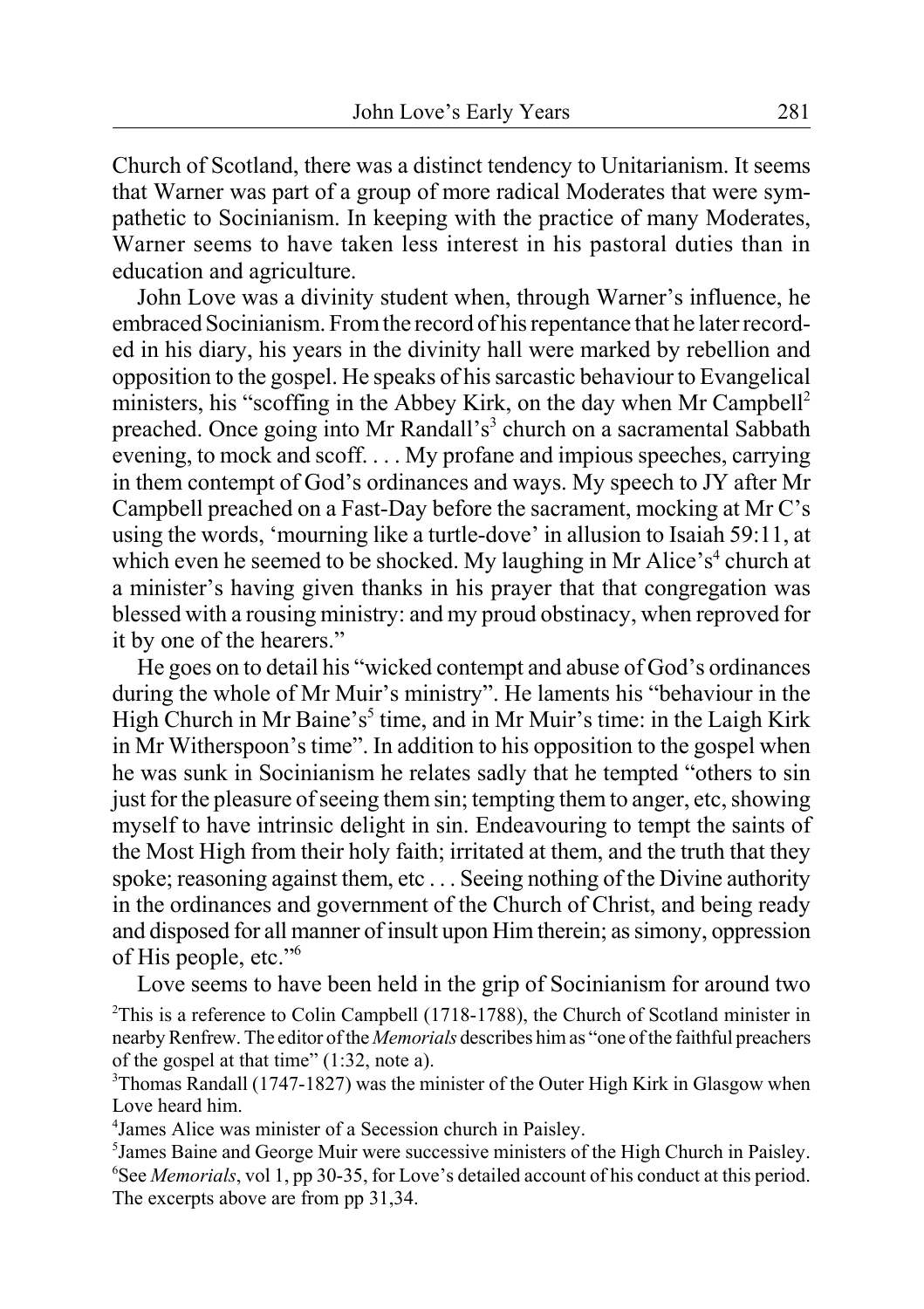Church of Scotland, there was a distinct tendency to Unitarianism. It seems that Warner was part of a group of more radical Moderates that were sympathetic to Socinianism. In keeping with the practice of many Moderates, Warner seems to have taken less interest in his pastoral duties than in education and agriculture.

John Love was a divinity student when, through Warner's influence, he embraced Socinianism. From the record of his repentance that he later recorded in his diary, his years in the divinity hall were marked by rebellion and opposition to the gospel. He speaks of his sarcastic behaviour to Evangelical ministers, his "scoffing in the Abbey Kirk, on the day when Mr Campbell<sup>2</sup> preached. Once going into Mr Randall's<sup>3</sup> church on a sacramental Sabbath evening, to mock and scoff. . . . My profane and impious speeches, carrying in them contempt of God's ordinances and ways. My speech to JY after Mr Campbell preached on a Fast-Day before the sacrament, mocking at Mr C's using the words, 'mourning like a turtle-dove' in allusion to Isaiah 59:11, at which even he seemed to be shocked. My laughing in Mr Alice's<sup>4</sup> church at a minister's having given thanks in his prayer that that congregation was blessed with a rousing ministry: and my proud obstinacy, when reproved for it by one of the hearers."

He goes on to detail his "wicked contempt and abuse of God's ordinances during the whole of Mr Muir's ministry". He laments his "behaviour in the High Church in Mr Baine's<sup>5</sup> time, and in Mr Muir's time: in the Laigh Kirk in Mr Witherspoon's time". In addition to his opposition to the gospel when he was sunk in Socinianism he relates sadly that he tempted "others to sin just for the pleasure of seeing them sin; tempting them to anger, etc, showing myself to have intrinsic delight in sin. Endeavouring to tempt the saints of the Most High from their holy faith; irritated at them, and the truth that they spoke; reasoning against them, etc . . . Seeing nothing of the Divine authority in the ordinances and government of the Church of Christ, and being ready and disposed for all manner of insult upon Him therein; as simony, oppression of His people, etc."6

Love seems to have been held in the grip of Socinianism for around two

<sup>2</sup>This is a reference to Colin Campbell (1718-1788), the Church of Scotland minister in nearby Renfrew. The editor of the *Memorials* describes him as "one of the faithful preachers of the gospel at that time" (1:32, note a).

<sup>3</sup>Thomas Randall (1747-1827) was the minister of the Outer High Kirk in Glasgow when Love heard him.

4 James Alice was minister of a Secession church in Paisley.

5 James Baine and George Muir were successive ministers of the High Church in Paisley. <sup>6</sup>See *Memorials*, vol 1, pp 30-35, for Love's detailed account of his conduct at this period. The excerpts above are from pp 31,34.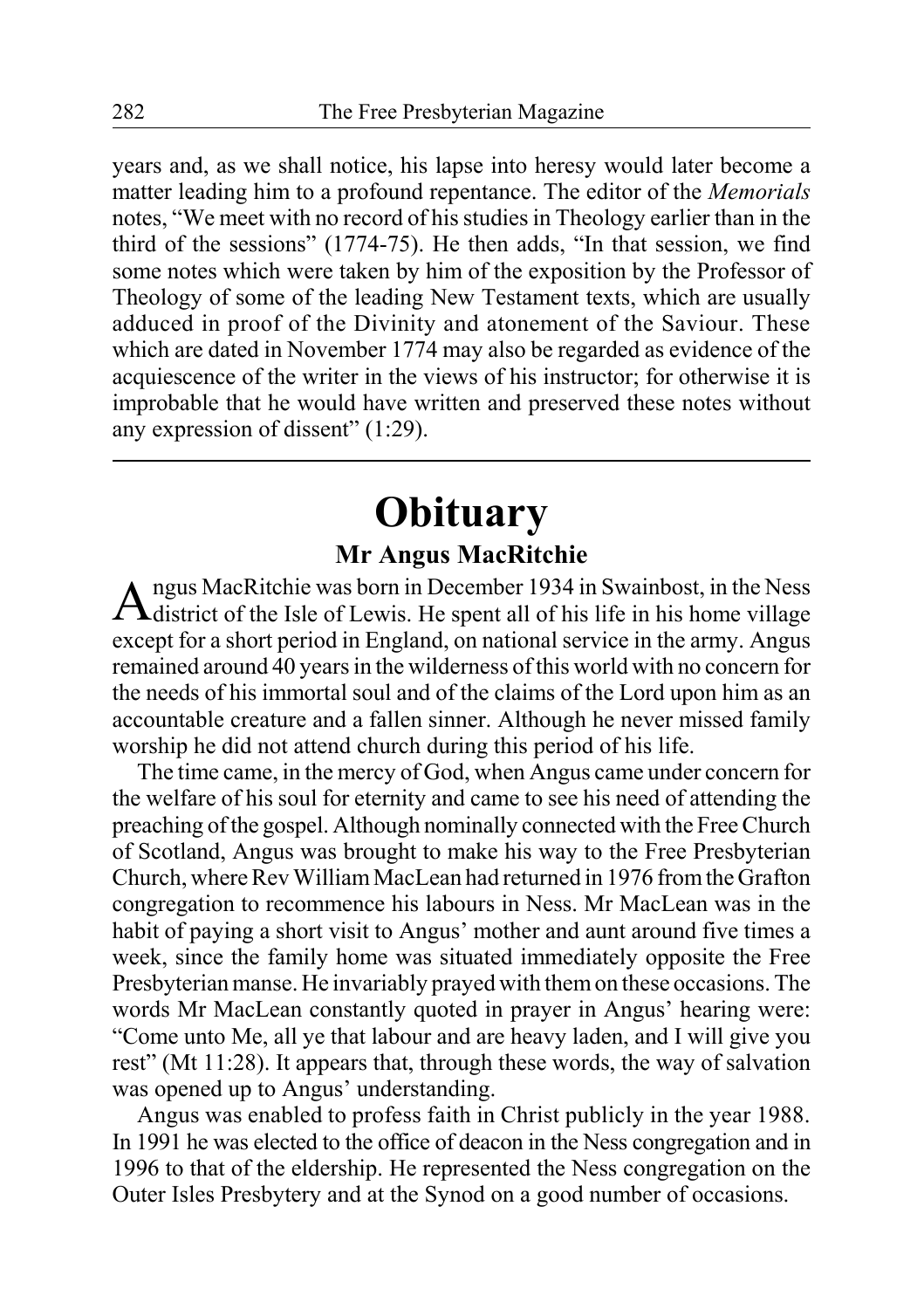years and, as we shall notice, his lapse into heresy would later become a matter leading him to a profound repentance. The editor of the *Memorials* notes, "We meet with no record of his studies in Theology earlier than in the third of the sessions" (1774-75). He then adds, "In that session, we find some notes which were taken by him of the exposition by the Professor of Theology of some of the leading New Testament texts, which are usually adduced in proof of the Divinity and atonement of the Saviour. These which are dated in November 1774 may also be regarded as evidence of the acquiescence of the writer in the views of his instructor; for otherwise it is improbable that he would have written and preserved these notes without any expression of dissent" (1:29).

# **Obituary Mr Angus MacRitchie**

Angus MacRitchie was born in December 1934 in Swainbost, in the Ness district of the Isle of Lewis. He spent all of his life in his home village except for a short period in England, on national service in the army. Angus remained around 40 years in the wilderness of this world with no concern for the needs of his immortal soul and of the claims of the Lord upon him as an accountable creature and a fallen sinner. Although he never missed family worship he did not attend church during this period of his life.

The time came, in the mercy of God, when Angus came under concern for the welfare of his soul for eternity and came to see his need of attending the preaching of the gospel. Although nominally connected with the Free Church of Scotland, Angus was brought to make his way to the Free Presbyterian Church, where Rev William MacLean had returned in 1976 from the Grafton congregation to recommence his labours in Ness. Mr MacLean was in the habit of paying a short visit to Angus' mother and aunt around five times a week, since the family home was situated immediately opposite the Free Presbyterian manse. He invariably prayed with them on these occasions. The words Mr MacLean constantly quoted in prayer in Angus' hearing were: "Come unto Me, all ye that labour and are heavy laden, and I will give you rest" (Mt 11:28). It appears that, through these words, the way of salvation was opened up to Angus' understanding.

Angus was enabled to profess faith in Christ publicly in the year 1988. In 1991 he was elected to the office of deacon in the Ness congregation and in 1996 to that of the eldership. He represented the Ness congregation on the Outer Isles Presbytery and at the Synod on a good number of occasions.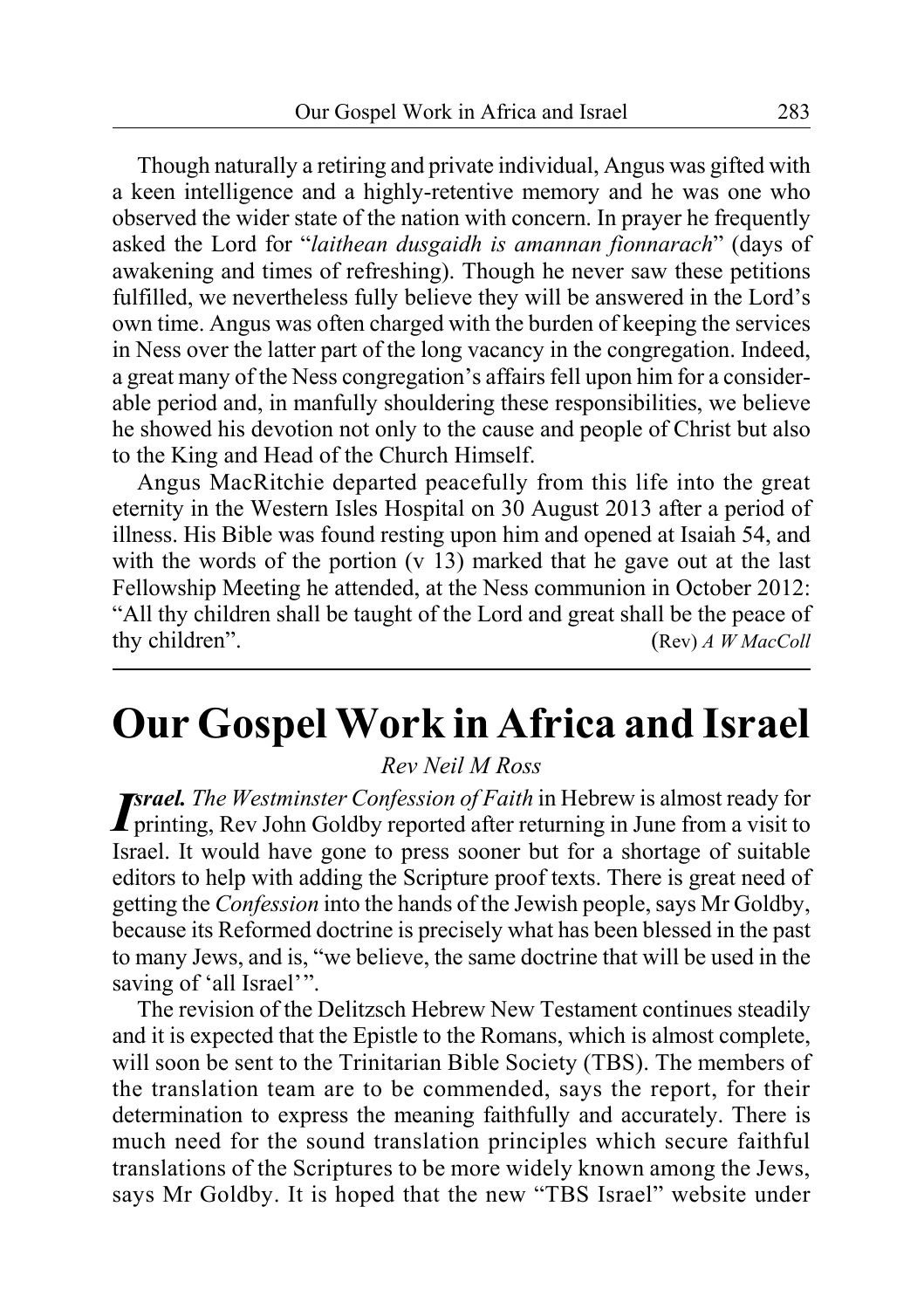Though naturally a retiring and private individual, Angus was gifted with a keen intelligence and a highly-retentive memory and he was one who observed the wider state of the nation with concern. In prayer he frequently asked the Lord for "*laithean dusgaidh is amannan fionnarach*" (days of awakening and times of refreshing). Though he never saw these petitions fulfilled, we nevertheless fully believe they will be answered in the Lord's own time. Angus was often charged with the burden of keeping the services in Ness over the latter part of the long vacancy in the congregation. Indeed, a great many of the Ness congregation's affairs fell upon him for a considerable period and, in manfully shouldering these responsibilities, we believe he showed his devotion not only to the cause and people of Christ but also to the King and Head of the Church Himself.

Angus MacRitchie departed peacefully from this life into the great eternity in the Western Isles Hospital on 30 August 2013 after a period of illness. His Bible was found resting upon him and opened at Isaiah 54, and with the words of the portion  $(v 13)$  marked that he gave out at the last Fellowship Meeting he attended, at the Ness communion in October 2012: "All thy children shall be taught of the Lord and great shall be the peace of thy children". (Rev) *A W MacColl*

# **Our Gospel Work in Africa and Israel**

### *Rev Neil M Ross*

*I Ine Westminster Confession of Faith* in Hebrew is almost ready for printing, Rev John Goldby reported after returning in June from a visit to *srael. The Westminster Confession of Faith* in Hebrew is almost ready for Israel. It would have gone to press sooner but for a shortage of suitable editors to help with adding the Scripture proof texts. There is great need of getting the *Confession* into the hands of the Jewish people, says Mr Goldby, because its Reformed doctrine is precisely what has been blessed in the past to many Jews, and is, "we believe, the same doctrine that will be used in the saving of 'all Israel'".

The revision of the Delitzsch Hebrew New Testament continues steadily and it is expected that the Epistle to the Romans, which is almost complete, will soon be sent to the Trinitarian Bible Society (TBS). The members of the translation team are to be commended, says the report, for their determination to express the meaning faithfully and accurately. There is much need for the sound translation principles which secure faithful translations of the Scriptures to be more widely known among the Jews, says Mr Goldby. It is hoped that the new "TBS Israel" website under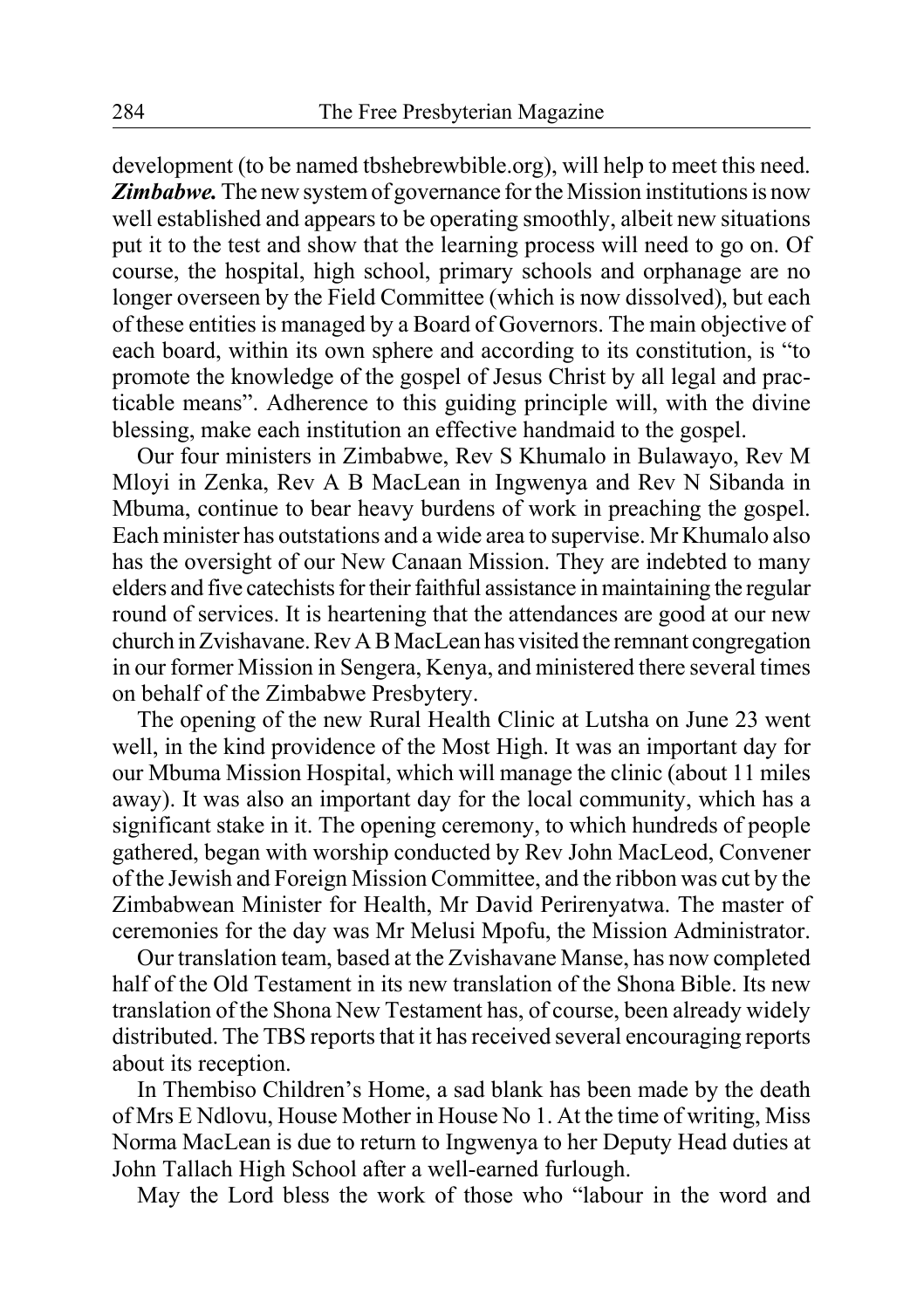development (to be named tbshebrewbible.org), will help to meet this need. *Zimbabwe.* The new system of governance for the Mission institutions is now well established and appears to be operating smoothly, albeit new situations put it to the test and show that the learning process will need to go on. Of course, the hospital, high school, primary schools and orphanage are no longer overseen by the Field Committee (which is now dissolved), but each of these entities is managed by a Board of Governors. The main objective of each board, within its own sphere and according to its constitution, is "to promote the knowledge of the gospel of Jesus Christ by all legal and practicable means". Adherence to this guiding principle will, with the divine blessing, make each institution an effective handmaid to the gospel.

Our four ministers in Zimbabwe, Rev S Khumalo in Bulawayo, Rev M Mloyi in Zenka, Rev A B MacLean in Ingwenya and Rev N Sibanda in Mbuma, continue to bear heavy burdens of work in preaching the gospel. Each minister has outstations and a wide area to supervise. Mr Khumalo also has the oversight of our New Canaan Mission. They are indebted to many elders and five catechists for their faithful assistance in maintaining the regular round of services. It is heartening that the attendances are good at our new church in Zvishavane. Rev A B MacLean has visited the remnant congregation in our former Mission in Sengera, Kenya, and ministered there several times on behalf of the Zimbabwe Presbytery.

The opening of the new Rural Health Clinic at Lutsha on June 23 went well, in the kind providence of the Most High. It was an important day for our Mbuma Mission Hospital, which will manage the clinic (about 11 miles away). It was also an important day for the local community, which has a significant stake in it. The opening ceremony, to which hundreds of people gathered, began with worship conducted by Rev John MacLeod, Convener of the Jewish and Foreign Mission Committee, and the ribbon was cut by the Zimbabwean Minister for Health, Mr David Perirenyatwa. The master of ceremonies for the day was Mr Melusi Mpofu, the Mission Administrator.

Our translation team, based at the Zvishavane Manse, has now completed half of the Old Testament in its new translation of the Shona Bible. Its new translation of the Shona New Testament has, of course, been already widely distributed. The TBS reports that it has received several encouraging reports about its reception.

In Thembiso Children's Home, a sad blank has been made by the death of Mrs E Ndlovu, House Mother in House No 1. At the time of writing, Miss Norma MacLean is due to return to Ingwenya to her Deputy Head duties at John Tallach High School after a well-earned furlough.

May the Lord bless the work of those who "labour in the word and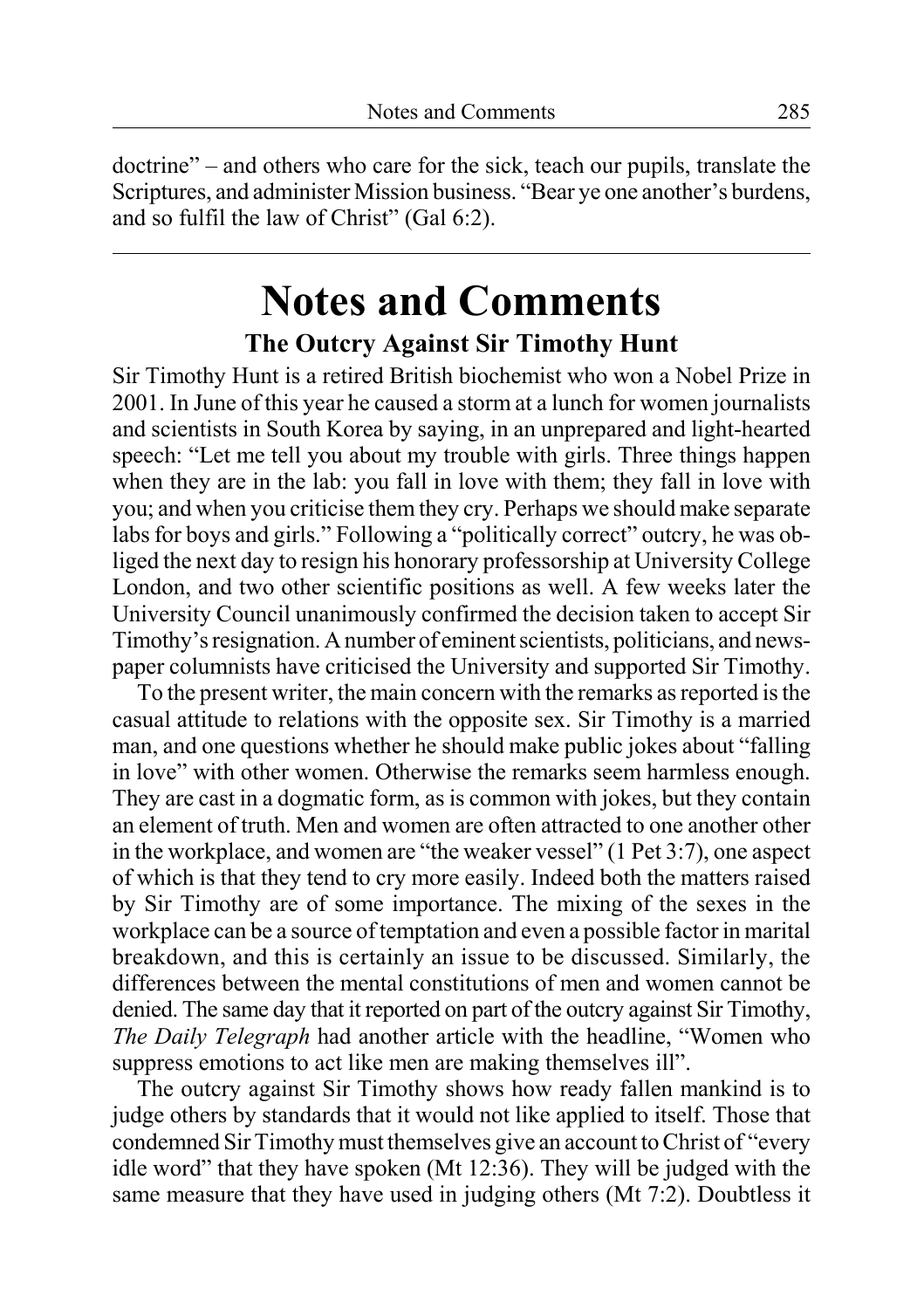doctrine" – and others who care for the sick, teach our pupils, translate the Scriptures, and administer Mission business. "Bear ye one another's burdens, and so fulfil the law of Christ" (Gal 6:2).

# **Notes and Comments The Outcry Against Sir Timothy Hunt**

Sir Timothy Hunt is a retired British biochemist who won a Nobel Prize in 2001. In June of this year he caused a storm at a lunch for women journalists and scientists in South Korea by saying, in an unprepared and light-hearted speech: "Let me tell you about my trouble with girls. Three things happen when they are in the lab: you fall in love with them; they fall in love with you; and when you criticise them they cry. Perhaps we should make separate labs for boys and girls." Following a "politically correct" outcry, he was obliged the next day to resign his honorary professorship at University College London, and two other scientific positions as well. A few weeks later the University Council unanimously confirmed the decision taken to accept Sir Timothy's resignation. A number of eminent scientists, politicians, and newspaper columnists have criticised the University and supported Sir Timothy.

To the present writer, the main concern with the remarks as reported is the casual attitude to relations with the opposite sex. Sir Timothy is a married man, and one questions whether he should make public jokes about "falling in love" with other women. Otherwise the remarks seem harmless enough. They are cast in a dogmatic form, as is common with jokes, but they contain an element of truth. Men and women are often attracted to one another other in the workplace, and women are "the weaker vessel" (1 Pet 3:7), one aspect of which is that they tend to cry more easily. Indeed both the matters raised by Sir Timothy are of some importance. The mixing of the sexes in the workplace can be a source of temptation and even a possible factor in marital breakdown, and this is certainly an issue to be discussed. Similarly, the differences between the mental constitutions of men and women cannot be denied. The same day that it reported on part of the outcry against Sir Timothy, *The Daily Telegraph* had another article with the headline, "Women who suppress emotions to act like men are making themselves ill".

The outcry against Sir Timothy shows how ready fallen mankind is to judge others by standards that it would not like applied to itself. Those that condemned Sir Timothy must themselves give an account to Christ of "every idle word" that they have spoken (Mt 12:36). They will be judged with the same measure that they have used in judging others (Mt 7:2). Doubtless it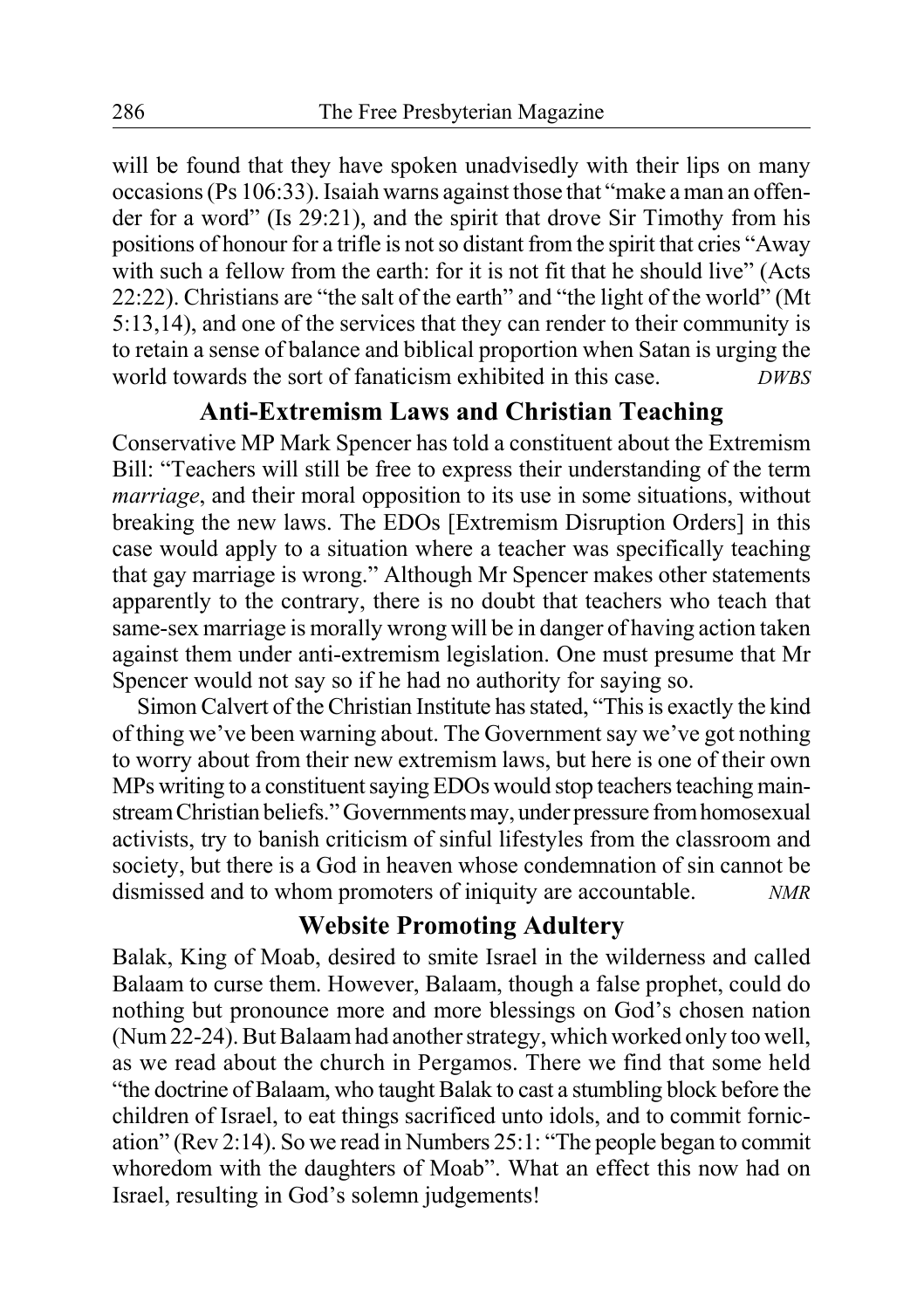will be found that they have spoken unadvisedly with their lips on many occasions (Ps 106:33). Isaiah warns against those that "make a man an offender for a word" (Is 29:21), and the spirit that drove Sir Timothy from his positions of honour for a trifle is not so distant from the spirit that cries "Away with such a fellow from the earth: for it is not fit that he should live" (Acts 22:22). Christians are "the salt of the earth" and "the light of the world" (Mt 5:13,14), and one of the services that they can render to their community is to retain a sense of balance and biblical proportion when Satan is urging the world towards the sort of fanaticism exhibited in this case. *DWBS*

### **Anti-Extremism Laws and Christian Teaching**

Conservative MP Mark Spencer has told a constituent about the Extremism Bill: "Teachers will still be free to express their understanding of the term *marriage*, and their moral opposition to its use in some situations, without breaking the new laws. The EDOs [Extremism Disruption Orders] in this case would apply to a situation where a teacher was specifically teaching that gay marriage is wrong." Although Mr Spencer makes other statements apparently to the contrary, there is no doubt that teachers who teach that same-sex marriage is morally wrong will be in danger of having action taken against them under anti-extremism legislation. One must presume that Mr Spencer would not say so if he had no authority for saying so.

Simon Calvert of the Christian Institute has stated, "This is exactly the kind of thing we've been warning about. The Government say we've got nothing to worry about from their new extremism laws, but here is one of their own MPs writing to a constituent saying EDOs would stop teachers teaching mainstream Christian beliefs." Governments may, under pressure from homosexual activists, try to banish criticism of sinful lifestyles from the classroom and society, but there is a God in heaven whose condemnation of sin cannot be dismissed and to whom promoters of iniquity are accountable. *NMR*

### **Website Promoting Adultery**

Balak, King of Moab, desired to smite Israel in the wilderness and called Balaam to curse them. However, Balaam, though a false prophet, could do nothing but pronounce more and more blessings on God's chosen nation (Num 22-24). But Balaam had another strategy, which worked only too well, as we read about the church in Pergamos. There we find that some held "the doctrine of Balaam, who taught Balak to cast a stumbling block before the children of Israel, to eat things sacrificed unto idols, and to commit fornication" (Rev 2:14). So we read in Numbers 25:1: "The people began to commit whoredom with the daughters of Moab". What an effect this now had on Israel, resulting in God's solemn judgements!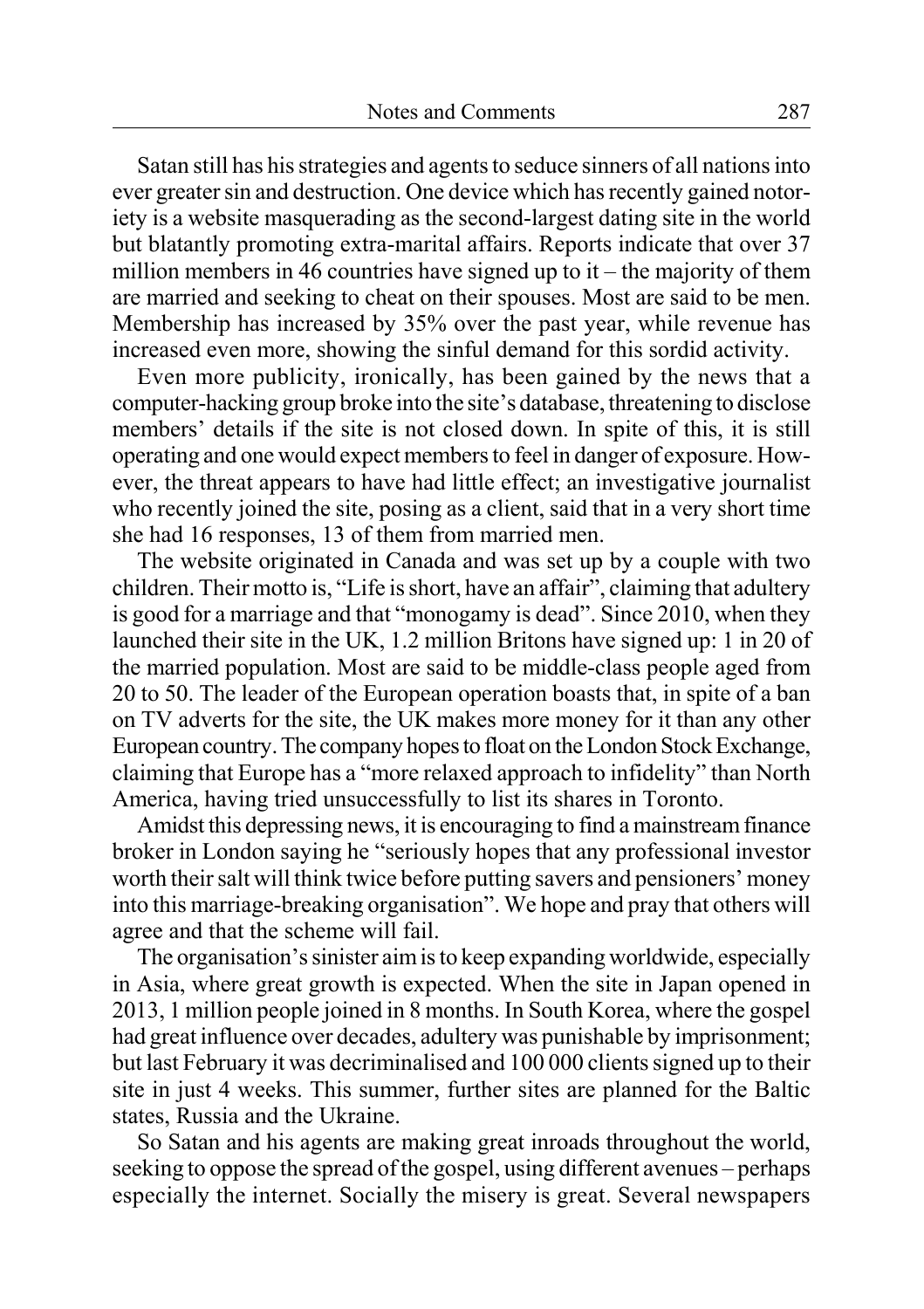Satan still has his strategies and agents to seduce sinners of all nations into ever greater sin and destruction. One device which has recently gained notoriety is a website masquerading as the second-largest dating site in the world but blatantly promoting extra-marital affairs. Reports indicate that over 37 million members in 46 countries have signed up to it – the majority of them are married and seeking to cheat on their spouses. Most are said to be men. Membership has increased by 35% over the past year, while revenue has increased even more, showing the sinful demand for this sordid activity.

Even more publicity, ironically, has been gained by the news that a computer-hacking group broke into the site's database, threatening to disclose members' details if the site is not closed down. In spite of this, it is still operating and one would expect members to feel in danger of exposure. However, the threat appears to have had little effect; an investigative journalist who recently joined the site, posing as a client, said that in a very short time she had 16 responses, 13 of them from married men.

The website originated in Canada and was set up by a couple with two children. Their motto is, "Life is short, have an affair", claiming that adultery is good for a marriage and that "monogamy is dead". Since 2010, when they launched their site in the UK, 1.2 million Britons have signed up: 1 in 20 of the married population. Most are said to be middle-class people aged from 20 to 50. The leader of the European operation boasts that, in spite of a ban on TV adverts for the site, the UK makes more money for it than any other European country. The company hopes to float on the London Stock Exchange, claiming that Europe has a "more relaxed approach to infidelity" than North America, having tried unsuccessfully to list its shares in Toronto.

Amidst this depressing news, it is encouraging to find a mainstream finance broker in London saying he "seriously hopes that any professional investor worth their salt will think twice before putting savers and pensioners' money into this marriage-breaking organisation". We hope and pray that others will agree and that the scheme will fail.

The organisation's sinister aim is to keep expanding worldwide, especially in Asia, where great growth is expected. When the site in Japan opened in 2013, 1 million people joined in 8 months. In South Korea, where the gospel had great influence over decades, adultery was punishable by imprisonment; but last February it was decriminalised and 100 000 clients signed up to their site in just 4 weeks. This summer, further sites are planned for the Baltic states, Russia and the Ukraine.

So Satan and his agents are making great inroads throughout the world, seeking to oppose the spread of the gospel, using different avenues – perhaps especially the internet. Socially the misery is great. Several newspapers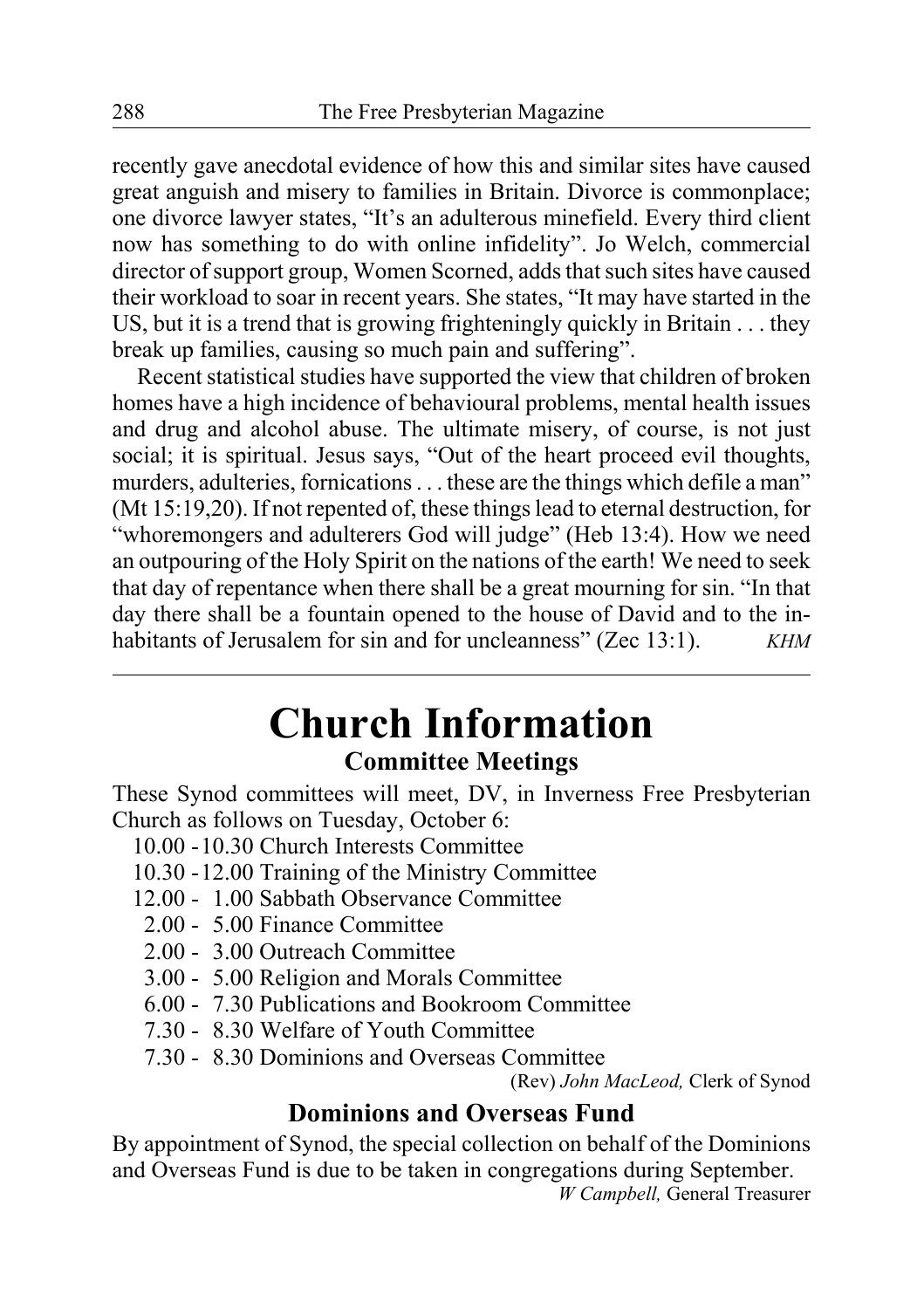recently gave anecdotal evidence of how this and similar sites have caused great anguish and misery to families in Britain. Divorce is commonplace; one divorce lawyer states, "It's an adulterous minefield. Every third client now has something to do with online infidelity". Jo Welch, commercial director of support group, Women Scorned, adds that such sites have caused their workload to soar in recent years. She states, "It may have started in the US, but it is a trend that is growing frighteningly quickly in Britain . . . they break up families, causing so much pain and suffering".

Recent statistical studies have supported the view that children of broken homes have a high incidence of behavioural problems, mental health issues and drug and alcohol abuse. The ultimate misery, of course, is not just social; it is spiritual. Jesus says, "Out of the heart proceed evil thoughts, murders, adulteries, fornications . . . these are the things which defile a man" (Mt 15:19,20). If not repented of, these things lead to eternal destruction, for "whoremongers and adulterers God will judge" (Heb 13:4). How we need an outpouring of the Holy Spirit on the nations of the earth! We need to seek that day of repentance when there shall be a great mourning for sin. "In that day there shall be a fountain opened to the house of David and to the inhabitants of Jerusalem for sin and for uncleanness" (Zec 13:1). *KHM* 

## **Church Information Committee Meetings**

These Synod committees will meet, DV, in Inverness Free Presbyterian Church as follows on Tuesday, October 6:

- 10.00 -10.30 Church Interests Committee
- 10.30 12.00 Training of the Ministry Committee
- 12.00 1.00 Sabbath Observance Committee
	- 2.00 5.00 Finance Committee
	- 2.00 3.00 Outreach Committee
- 3.00 5.00 Religion and Morals Committee
- 6.00 7.30 Publications and Bookroom Committee
- 7.30 8.30 Welfare of Youth Committee
- 7.30 8.30 Dominions and Overseas Committee

(Rev) *John MacLeod,* Clerk of Synod

### **Dominions and Overseas Fund**

By appointment of Synod, the special collection on behalf of the Dominions and Overseas Fund is due to be taken in congregations during September. *W Campbell,* General Treasurer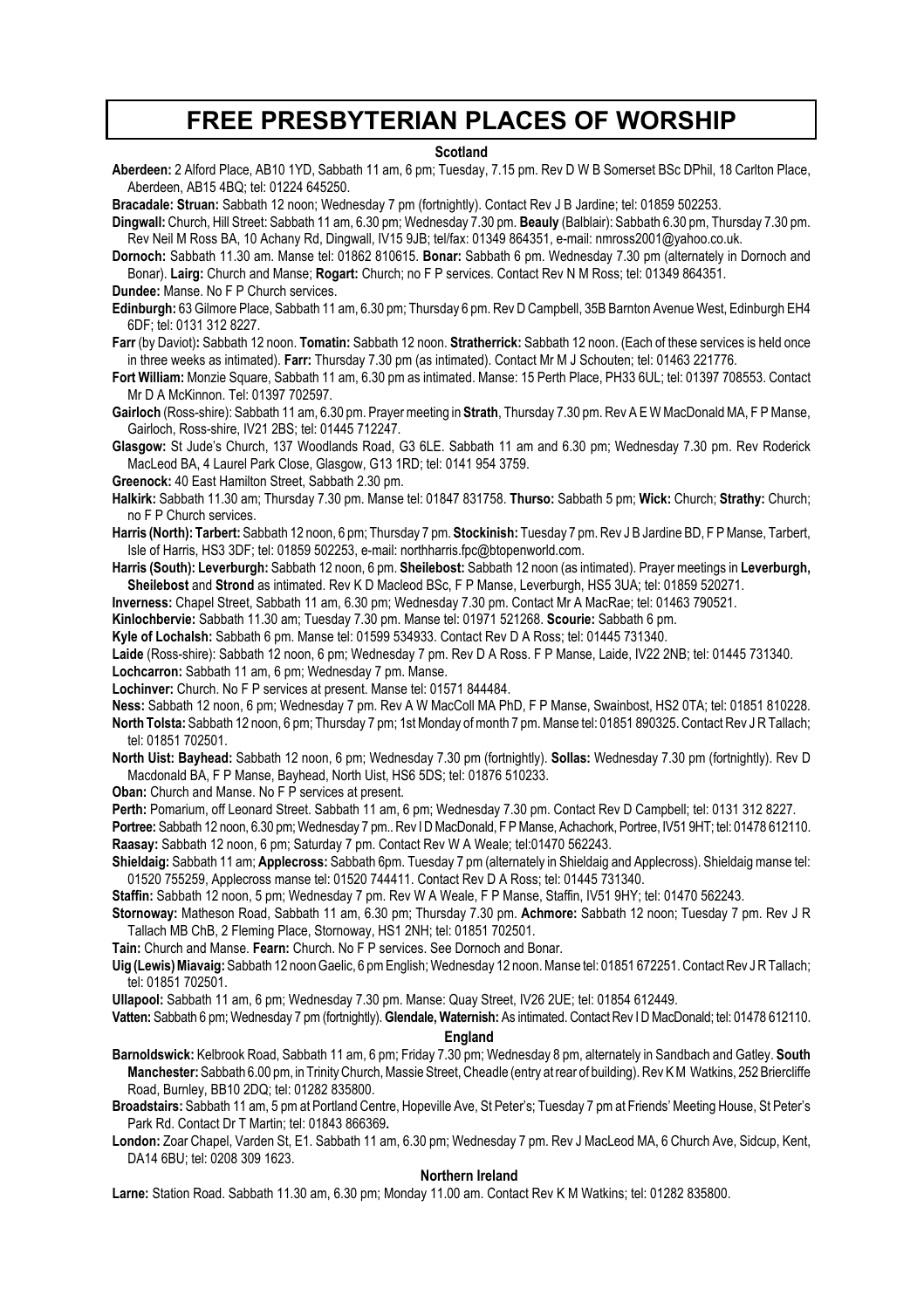### **FREE PRESBYTERIAN PLACES OF WORSHIP**

#### **Scotland**

**Aberdeen:** 2 Alford Place, AB10 1YD, Sabbath 11 am, 6 pm; Tuesday, 7.15 pm. Rev D W B Somerset BSc DPhil, 18 Carlton Place, Aberdeen, AB15 4BQ; tel: 01224 645250.

**Bracadale: Struan:** Sabbath 12 noon; Wednesday 7 pm (fortnightly). Contact Rev J B Jardine; tel: 01859 502253.

**Dingwall:** Church, Hill Street: Sabbath 11 am, 6.30 pm; Wednesday 7.30 pm. **Beauly** (Balblair): Sabbath 6.30 pm, Thursday 7.30 pm. Rev Neil M Ross BA, 10 Achany Rd, Dingwall, IV15 9JB; tel/fax: 01349 864351, e-mail: nmross2001@yahoo.co.uk.

**Dornoch:** Sabbath 11.30 am. Manse tel: 01862 810615. **Bonar:** Sabbath 6 pm. Wednesday 7.30 pm (alternately in Dornoch and Bonar). **Lairg:** Church and Manse; **Rogart:** Church; no F P services. Contact Rev N M Ross; tel: 01349 864351.

**Dundee:** Manse. No F P Church services.

**Edinburgh:** 63 Gilmore Place, Sabbath 11 am, 6.30 pm; Thursday 6 pm. Rev D Campbell, 35B Barnton Avenue West, Edinburgh EH4 6DF; tel: 0131 312 8227.

**Farr** (by Daviot)**:** Sabbath 12 noon. **Tomatin:** Sabbath 12 noon. **Stratherrick:** Sabbath 12 noon. (Each of these services is held once in three weeks as intimated). **Farr:** Thursday 7.30 pm (as intimated). Contact Mr M J Schouten; tel: 01463 221776.

**Fort William:** Monzie Square, Sabbath 11 am, 6.30 pm as intimated. Manse: 15 Perth Place, PH33 6UL; tel: 01397 708553. Contact Mr D A McKinnon. Tel: 01397 702597.

**Gairloch** (Ross-shire): Sabbath 11 am, 6.30 pm. Prayer meeting in **Strath**, Thursday 7.30 pm. Rev A E W MacDonald MA, F P Manse, Gairloch, Ross-shire, IV21 2BS; tel: 01445 712247.

**Glasgow:** St Jude's Church, 137 Woodlands Road, G3 6LE. Sabbath 11 am and 6.30 pm; Wednesday 7.30 pm. Rev Roderick MacLeod BA, 4 Laurel Park Close, Glasgow, G13 1RD; tel: 0141 954 3759.

**Greenock:** 40 East Hamilton Street, Sabbath 2.30 pm.

**Halkirk:** Sabbath 11.30 am; Thursday 7.30 pm. Manse tel: 01847 831758. **Thurso:** Sabbath 5 pm; **Wick:** Church; **Strathy:** Church; no F P Church services.

**Harris (North): Tarbert:** Sabbath 12 noon, 6 pm; Thursday 7 pm. **Stockinish:** Tuesday 7 pm. Rev J B Jardine BD, F P Manse, Tarbert, Isle of Harris, HS3 3DF; tel: 01859 502253, e-mail: northharris.fpc@btopenworld.com.

**Harris (South): Leverburgh:** Sabbath 12 noon, 6 pm. **Sheilebost:** Sabbath 12 noon (as intimated). Prayer meetings in **Leverburgh, Sheilebost** and **Strond** as intimated. Rev K D Macleod BSc, F P Manse, Leverburgh, HS5 3UA; tel: 01859 520271.

**Inverness:** Chapel Street, Sabbath 11 am, 6.30 pm; Wednesday 7.30 pm. Contact Mr A MacRae; tel: 01463 790521.

**Kinlochbervie:** Sabbath 11.30 am; Tuesday 7.30 pm. Manse tel: 01971 521268. **Scourie:** Sabbath 6 pm.

**Kyle of Lochalsh:** Sabbath 6 pm. Manse tel: 01599 534933. Contact Rev D A Ross; tel: 01445 731340.

**Laide** (Ross-shire): Sabbath 12 noon, 6 pm; Wednesday 7 pm. Rev D A Ross. F P Manse, Laide, IV22 2NB; tel: 01445 731340. **Lochcarron:** Sabbath 11 am, 6 pm; Wednesday 7 pm. Manse.

**Lochinver:** Church. No F P services at present. Manse tel: 01571 844484.

**Ness:** Sabbath 12 noon, 6 pm; Wednesday 7 pm. Rev A W MacColl MA PhD, F P Manse, Swainbost, HS2 0TA; tel: 01851 810228. **North Tolsta:** Sabbath 12 noon, 6 pm; Thursday 7 pm; 1st Monday of month 7 pm. Manse tel: 01851 890325. Contact Rev J R Tallach; tel: 01851 702501.

**North Uist: Bayhead:** Sabbath 12 noon, 6 pm; Wednesday 7.30 pm (fortnightly). **Sollas:** Wednesday 7.30 pm (fortnightly). Rev D Macdonald BA, F P Manse, Bayhead, North Uist, HS6 5DS; tel: 01876 510233.

**Oban:** Church and Manse. No F P services at present.

**Perth:** Pomarium, off Leonard Street. Sabbath 11 am, 6 pm; Wednesday 7.30 pm. Contact Rev D Campbell; tel: 0131 312 8227.

Portree: Sabbath 12 noon, 6.30 pm; Wednesday 7 pm.. Rev I D MacDonald, F P Manse, Achachork, Portree, IV51 9HT; tel: 01478 612110. **Raasay:** Sabbath 12 noon, 6 pm; Saturday 7 pm. Contact Rev W A Weale; tel:01470 562243.

**Shieldaig:** Sabbath 11 am; **Applecross:** Sabbath 6pm. Tuesday 7 pm (alternately in Shieldaig and Applecross). Shieldaig manse tel: 01520 755259, Applecross manse tel: 01520 744411. Contact Rev D A Ross; tel: 01445 731340.

**Staffin:** Sabbath 12 noon, 5 pm; Wednesday 7 pm. Rev W A Weale, F P Manse, Staffin, IV51 9HY; tel: 01470 562243.

**Stornoway:** Matheson Road, Sabbath 11 am, 6.30 pm; Thursday 7.30 pm. **Achmore:** Sabbath 12 noon; Tuesday 7 pm. Rev J R Tallach MB ChB, 2 Fleming Place, Stornoway, HS1 2NH; tel: 01851 702501.

**Tain:** Church and Manse. **Fearn:** Church. No F P services. See Dornoch and Bonar.

**Uig (Lewis) Miavaig:** Sabbath 12 noon Gaelic, 6 pm English; Wednesday 12 noon. Manse tel: 01851 672251. Contact Rev J R Tallach; tel: 01851 702501.

**Ullapool:** Sabbath 11 am, 6 pm; Wednesday 7.30 pm. Manse: Quay Street, IV26 2UE; tel: 01854 612449.

**Vatten:** Sabbath 6 pm; Wednesday 7 pm (fortnightly). **Glendale, Waternish:** As intimated. Contact Rev I D MacDonald; tel: 01478 612110.

#### **England**

**Barnoldswick:** Kelbrook Road, Sabbath 11 am, 6 pm; Friday 7.30 pm; Wednesday 8 pm, alternately in Sandbach and Gatley. **South Manchester:** Sabbath 6.00 pm, in Trinity Church, Massie Street, Cheadle (entry at rear of building). Rev K M Watkins, 252 Briercliffe Road, Burnley, BB10 2DQ; tel: 01282 835800.

**Broadstairs:** Sabbath 11 am, 5 pm at Portland Centre, Hopeville Ave, St Peter's; Tuesday 7 pm at Friends' Meeting House, St Peter's Park Rd. Contact Dr T Martin; tel: 01843 866369**.**

**London:** Zoar Chapel, Varden St, E1. Sabbath 11 am, 6.30 pm; Wednesday 7 pm. Rev J MacLeod MA, 6 Church Ave, Sidcup, Kent, DA14 6BU; tel: 0208 309 1623.

#### **Northern Ireland**

**Larne:** Station Road. Sabbath 11.30 am, 6.30 pm; Monday 11.00 am. Contact Rev K M Watkins; tel: 01282 835800.